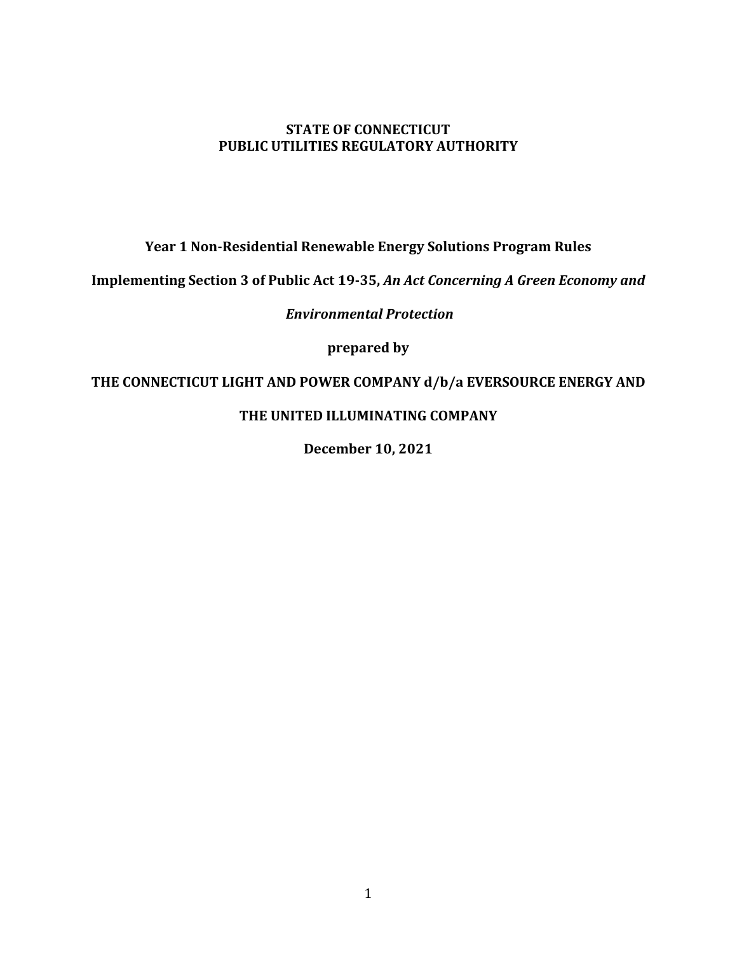#### **STATE OF CONNECTICUT PUBLIC UTILITIES REGULATORY AUTHORITY**

**Year 1 Non-Residential Renewable Energy Solutions Program Rules**

**Implementing Section 3 of Public Act 19-35,** *An Act Concerning A Green Economy and*

*Environmental Protection*

**prepared by**

### **THE CONNECTICUT LIGHT AND POWER COMPANY d/b/a EVERSOURCE ENERGY AND**

### **THE UNITED ILLUMINATING COMPANY**

**December 10, 2021**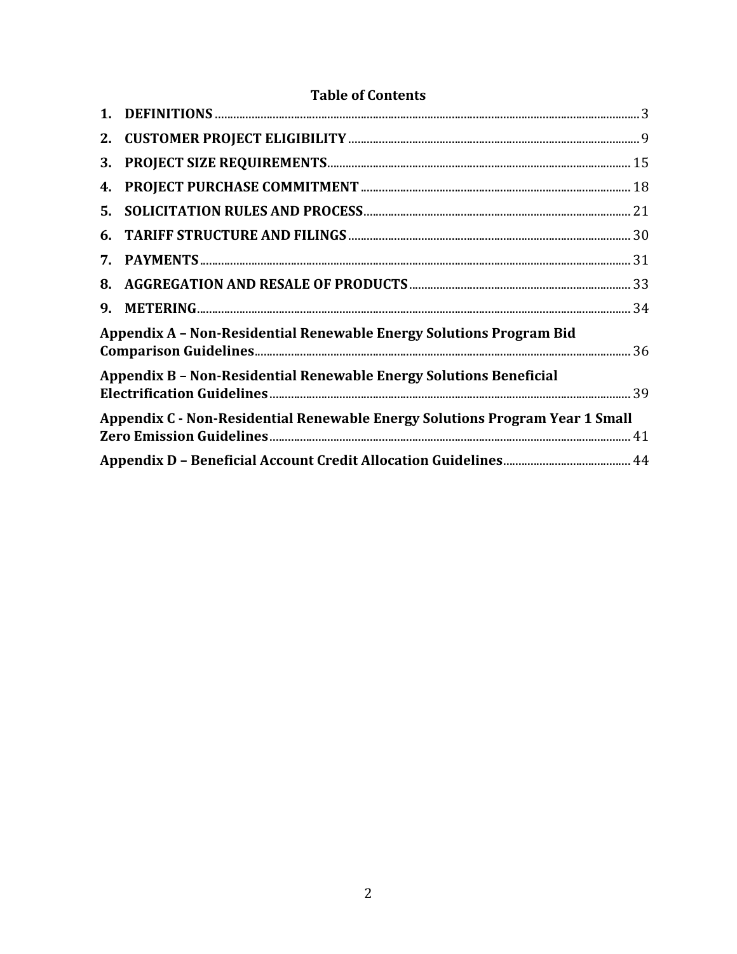| 2. |                                                                              |  |
|----|------------------------------------------------------------------------------|--|
| 3. |                                                                              |  |
| 4. |                                                                              |  |
| 5. |                                                                              |  |
| 6. |                                                                              |  |
| 7. |                                                                              |  |
| 8. |                                                                              |  |
| 9. |                                                                              |  |
|    | Appendix A - Non-Residential Renewable Energy Solutions Program Bid          |  |
|    | <b>Appendix B - Non-Residential Renewable Energy Solutions Beneficial</b>    |  |
|    | Appendix C - Non-Residential Renewable Energy Solutions Program Year 1 Small |  |
|    |                                                                              |  |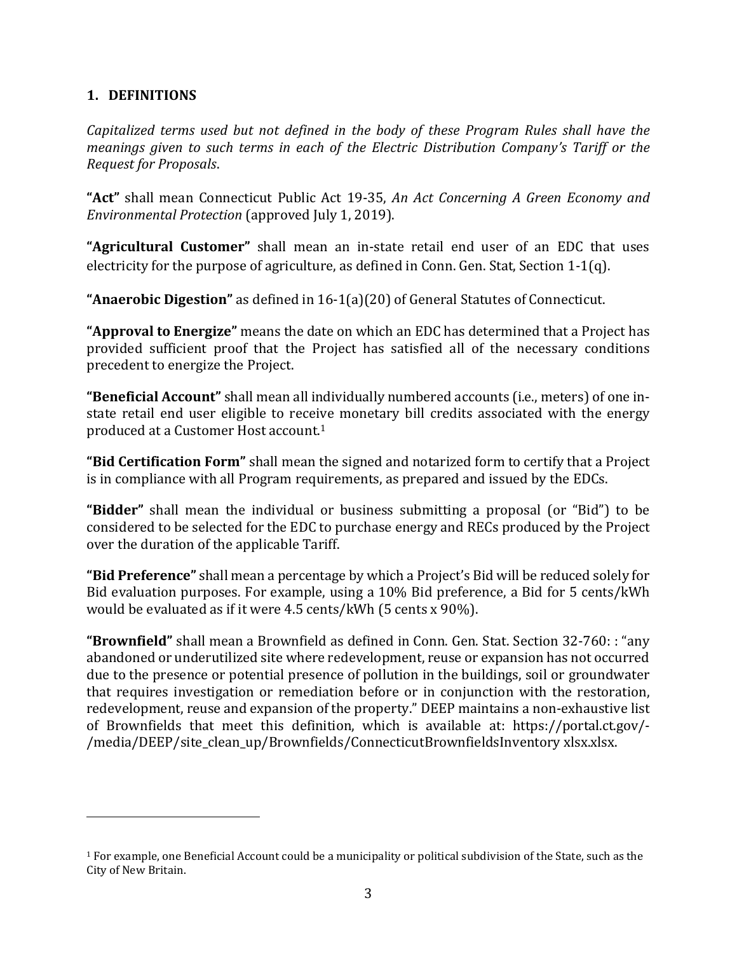#### <span id="page-2-0"></span>**1. DEFINITIONS**

*Capitalized terms used but not defined in the body of these Program Rules shall have the meanings given to such terms in each of the Electric Distribution Company's Tariff or the Request for Proposals*.

**"Act"** shall mean Connecticut Public Act 19-35, *An Act Concerning A Green Economy and Environmental Protection* (approved July 1, 2019).

**"Agricultural Customer"** shall mean an in-state retail end user of an EDC that uses electricity for the purpose of agriculture, as defined in Conn. Gen. Stat, Section 1-1(q).

**"Anaerobic Digestion"** as defined in 16-1(a)(20) of General Statutes of Connecticut.

**"Approval to Energize"** means the date on which an EDC has determined that a Project has provided sufficient proof that the Project has satisfied all of the necessary conditions precedent to energize the Project.

**"Beneficial Account"** shall mean all individually numbered accounts (i.e., meters) of one instate retail end user eligible to receive monetary bill credits associated with the energy produced at a Customer Host account. 1

**"Bid Certification Form"** shall mean the signed and notarized form to certify that a Project is in compliance with all Program requirements, as prepared and issued by the EDCs.

**"Bidder"** shall mean the individual or business submitting a proposal (or "Bid") to be considered to be selected for the EDC to purchase energy and RECs produced by the Project over the duration of the applicable Tariff.

**"Bid Preference"** shall mean a percentage by which a Project's Bid will be reduced solely for Bid evaluation purposes. For example, using a 10% Bid preference, a Bid for 5 cents/kWh would be evaluated as if it were 4.5 cents/kWh (5 cents x 90%).

**"Brownfield"** shall mean a Brownfield as defined in Conn. Gen. Stat. Section 32-760: : "any abandoned or underutilized site where redevelopment, reuse or expansion has not occurred due to the presence or potential presence of pollution in the buildings, soil or groundwater that requires investigation or remediation before or in conjunction with the restoration, redevelopment, reuse and expansion of the property." DEEP maintains a non-exhaustive list of Brownfields that meet this definition, which is available at: https://portal.ct.gov/- /media/DEEP/site\_clean\_up/Brownfields/ConnecticutBrownfieldsInventory xlsx.xlsx.

<sup>1</sup> For example, one Beneficial Account could be a municipality or political subdivision of the State, such as the City of New Britain.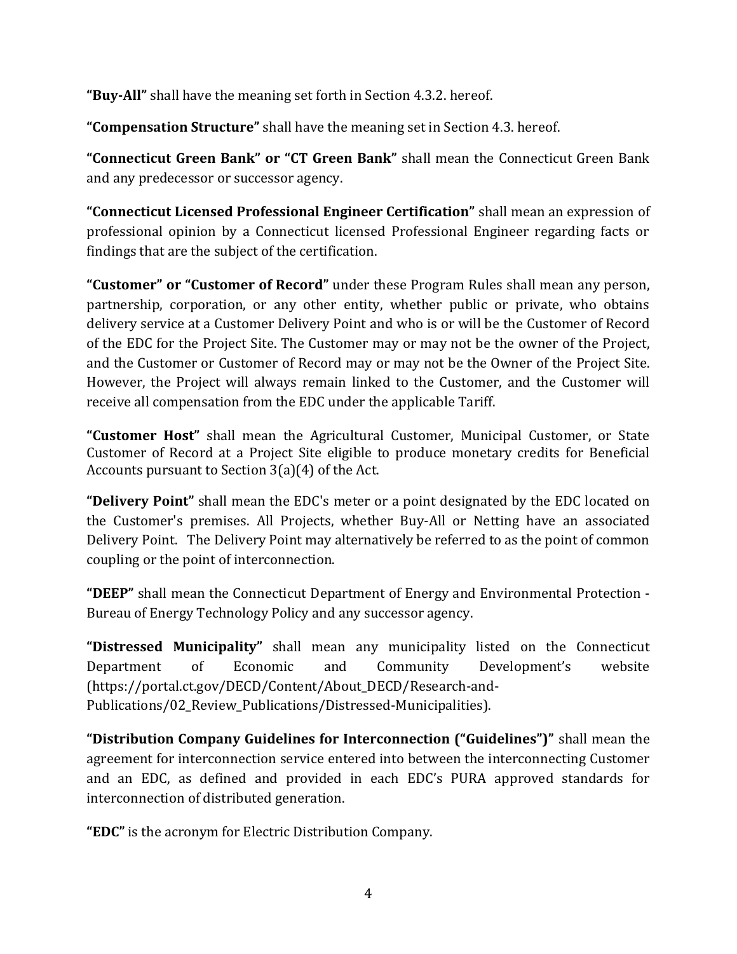**"Buy-All"** shall have the meaning set forth in Section 4.3.2. hereof.

**"Compensation Structure"** shall have the meaning set in Section 4.3. hereof.

**"Connecticut Green Bank" or "CT Green Bank"** shall mean the Connecticut Green Bank and any predecessor or successor agency.

**"Connecticut Licensed Professional Engineer Certification"** shall mean an expression of professional opinion by a Connecticut licensed Professional Engineer regarding facts or findings that are the subject of the certification.

**"Customer" or "Customer of Record"** under these Program Rules shall mean any person, partnership, corporation, or any other entity, whether public or private, who obtains delivery service at a Customer Delivery Point and who is or will be the Customer of Record of the EDC for the Project Site. The Customer may or may not be the owner of the Project, and the Customer or Customer of Record may or may not be the Owner of the Project Site. However, the Project will always remain linked to the Customer, and the Customer will receive all compensation from the EDC under the applicable Tariff.

**"Customer Host"** shall mean the Agricultural Customer, Municipal Customer, or State Customer of Record at a Project Site eligible to produce monetary credits for Beneficial Accounts pursuant to Section 3(a)(4) of the Act.

**"Delivery Point"** shall mean the EDC's meter or a point designated by the EDC located on the Customer's premises. All Projects, whether Buy-All or Netting have an associated Delivery Point. The Delivery Point may alternatively be referred to as the point of common coupling or the point of interconnection.

**"DEEP"** shall mean the Connecticut Department of Energy and Environmental Protection - Bureau of Energy Technology Policy and any successor agency.

**"Distressed Municipality"** shall mean any municipality listed on the Connecticut Department of Economic and Community Development's website (https://portal.ct.gov/DECD/Content/About\_DECD/Research-and-Publications/02\_Review\_Publications/Distressed-Municipalities).

**"Distribution Company Guidelines for Interconnection ("Guidelines")"** shall mean the agreement for interconnection service entered into between the interconnecting Customer and an EDC, as defined and provided in each EDC's PURA approved standards for interconnection of distributed generation.

**"EDC"** is the acronym for Electric Distribution Company.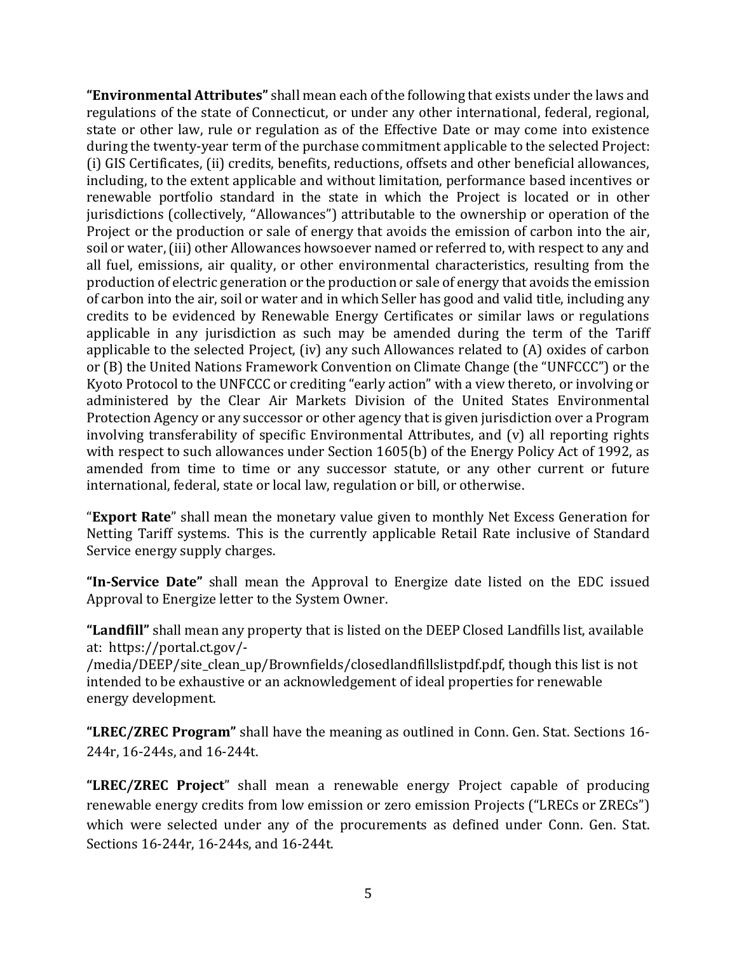**"Environmental Attributes"** shall mean each of the following that exists under the laws and regulations of the state of Connecticut, or under any other international, federal, regional, state or other law, rule or regulation as of the Effective Date or may come into existence during the twenty-year term of the purchase commitment applicable to the selected Project: (i) GIS Certificates, (ii) credits, benefits, reductions, offsets and other beneficial allowances, including, to the extent applicable and without limitation, performance based incentives or renewable portfolio standard in the state in which the Project is located or in other jurisdictions (collectively, "Allowances") attributable to the ownership or operation of the Project or the production or sale of energy that avoids the emission of carbon into the air, soil or water, (iii) other Allowances howsoever named or referred to, with respect to any and all fuel, emissions, air quality, or other environmental characteristics, resulting from the production of electric generation or the production or sale of energy that avoids the emission of carbon into the air, soil or water and in which Seller has good and valid title, including any credits to be evidenced by Renewable Energy Certificates or similar laws or regulations applicable in any jurisdiction as such may be amended during the term of the Tariff applicable to the selected Project, (iv) any such Allowances related to (A) oxides of carbon or (B) the United Nations Framework Convention on Climate Change (the "UNFCCC") or the Kyoto Protocol to the UNFCCC or crediting "early action" with a view thereto, or involving or administered by the Clear Air Markets Division of the United States Environmental Protection Agency or any successor or other agency that is given jurisdiction over a Program involving transferability of specific Environmental Attributes, and (v) all reporting rights with respect to such allowances under Section 1605(b) of the Energy Policy Act of 1992, as amended from time to time or any successor statute, or any other current or future international, federal, state or local law, regulation or bill, or otherwise.

"**Export Rate**" shall mean the monetary value given to monthly Net Excess Generation for Netting Tariff systems. This is the currently applicable Retail Rate inclusive of Standard Service energy supply charges.

**"In-Service Date"** shall mean the Approval to Energize date listed on the EDC issued Approval to Energize letter to the System Owner.

**"Landfill"** shall mean any property that is listed on the DEEP Closed Landfills list, available at: https://portal.ct.gov/-

/media/DEEP/site\_clean\_up/Brownfields/closedlandfillslistpdf.pdf, though this list is not intended to be exhaustive or an acknowledgement of ideal properties for renewable energy development.

**"LREC/ZREC Program"** shall have the meaning as outlined in Conn. Gen. Stat. Sections 16- 244r, 16-244s, and 16-244t.

**"LREC/ZREC Project**" shall mean a renewable energy Project capable of producing renewable energy credits from low emission or zero emission Projects ("LRECs or ZRECs") which were selected under any of the procurements as defined under Conn. Gen. Stat. Sections 16-244r, 16-244s, and 16-244t.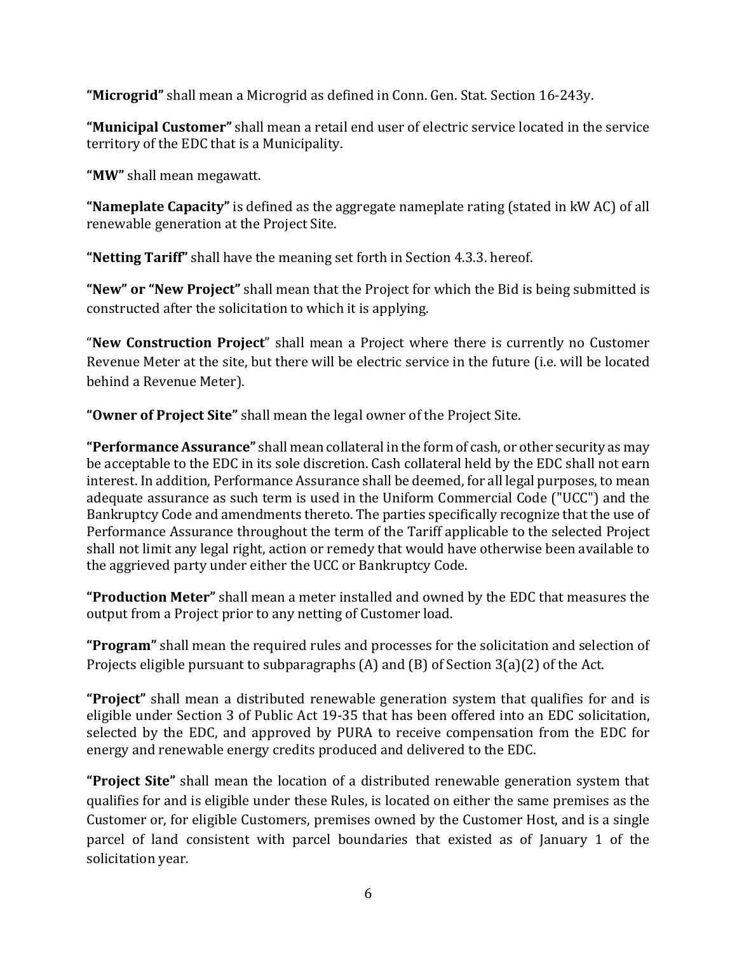**"Microgrid"** shall mean a Microgrid as defined in Conn. Gen. Stat. Section 16-243y.

**"Municipal Customer"** shall mean a retail end user of electric service located in the service territory of the EDC that is a Municipality.

**"MW"** shall mean megawatt.

**"Nameplate Capacity"** is defined as the aggregate nameplate rating (stated in kW AC) of all renewable generation at the Project Site.

**"Netting Tariff"** shall have the meaning set forth in Section 4.3.3. hereof.

**"New" or "New Project"** shall mean that the Project for which the Bid is being submitted is constructed after the solicitation to which it is applying.

"**New Construction Project**" shall mean a Project where there is currently no Customer Revenue Meter at the site, but there will be electric service in the future (i.e. will be located behind a Revenue Meter).

**"Owner of Project Site"** shall mean the legal owner of the Project Site.

**"Performance Assurance"** shall mean collateral in the form of cash, or other security as may be acceptable to the EDC in its sole discretion. Cash collateral held by the EDC shall not earn interest. In addition, Performance Assurance shall be deemed, for all legal purposes, to mean adequate assurance as such term is used in the Uniform Commercial Code ("UCC") and the Bankruptcy Code and amendments thereto. The parties specifically recognize that the use of Performance Assurance throughout the term of the Tariff applicable to the selected Project shall not limit any legal right, action or remedy that would have otherwise been available to the aggrieved party under either the UCC or Bankruptcy Code.

**"Production Meter"** shall mean a meter installed and owned by the EDC that measures the output from a Project prior to any netting of Customer load.

**"Program"** shall mean the required rules and processes for the solicitation and selection of Projects eligible pursuant to subparagraphs (A) and (B) of Section 3(a)(2) of the Act.

**"Project"** shall mean a distributed renewable generation system that qualifies for and is eligible under Section 3 of Public Act 19-35 that has been offered into an EDC solicitation, selected by the EDC, and approved by PURA to receive compensation from the EDC for energy and renewable energy credits produced and delivered to the EDC.

**"Project Site"** shall mean the location of a distributed renewable generation system that qualifies for and is eligible under these Rules, is located on either the same premises as the Customer or, for eligible Customers, premises owned by the Customer Host, and is a single parcel of land consistent with parcel boundaries that existed as of January 1 of the solicitation year.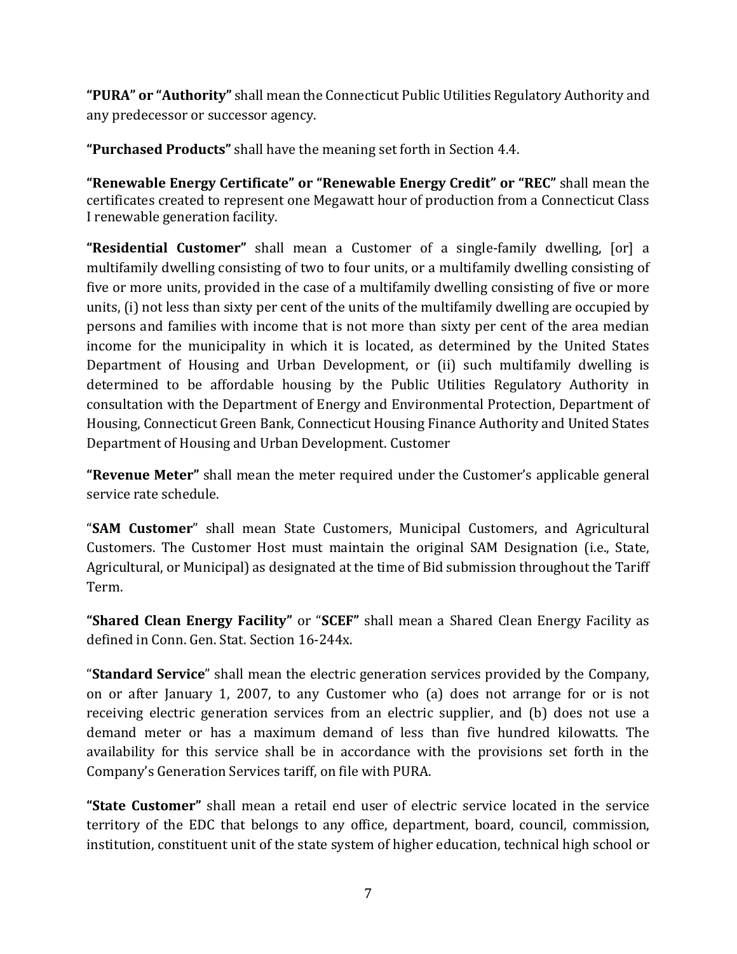**"PURA" or "Authority"** shall mean the Connecticut Public Utilities Regulatory Authority and any predecessor or successor agency.

**"Purchased Products"** shall have the meaning set forth in Section 4.4.

**"Renewable Energy Certificate" or "Renewable Energy Credit" or "REC"** shall mean the certificates created to represent one Megawatt hour of production from a Connecticut Class I renewable generation facility.

**"Residential Customer"** shall mean a Customer of a single-family dwelling, [or] a multifamily dwelling consisting of two to four units, or a multifamily dwelling consisting of five or more units, provided in the case of a multifamily dwelling consisting of five or more units, (i) not less than sixty per cent of the units of the multifamily dwelling are occupied by persons and families with income that is not more than sixty per cent of the area median income for the municipality in which it is located, as determined by the United States Department of Housing and Urban Development, or (ii) such multifamily dwelling is determined to be affordable housing by the Public Utilities Regulatory Authority in consultation with the Department of Energy and Environmental Protection, Department of Housing, Connecticut Green Bank, Connecticut Housing Finance Authority and United States Department of Housing and Urban Development. Customer

**"Revenue Meter"** shall mean the meter required under the Customer's applicable general service rate schedule.

"**SAM Customer**" shall mean State Customers, Municipal Customers, and Agricultural Customers. The Customer Host must maintain the original SAM Designation (i.e., State, Agricultural, or Municipal) as designated at the time of Bid submission throughout the Tariff Term.

**"Shared Clean Energy Facility"** or "**SCEF"** shall mean a Shared Clean Energy Facility as defined in Conn. Gen. Stat. Section 16-244x.

"**Standard Service**" shall mean the electric generation services provided by the Company, on or after January 1, 2007, to any Customer who (a) does not arrange for or is not receiving electric generation services from an electric supplier, and (b) does not use a demand meter or has a maximum demand of less than five hundred kilowatts. The availability for this service shall be in accordance with the provisions set forth in the Company's Generation Services tariff, on file with PURA.

**"State Customer"** shall mean a retail end user of electric service located in the service territory of the EDC that belongs to any office, department, board, council, commission, institution, constituent unit of the state system of higher education, technical high school or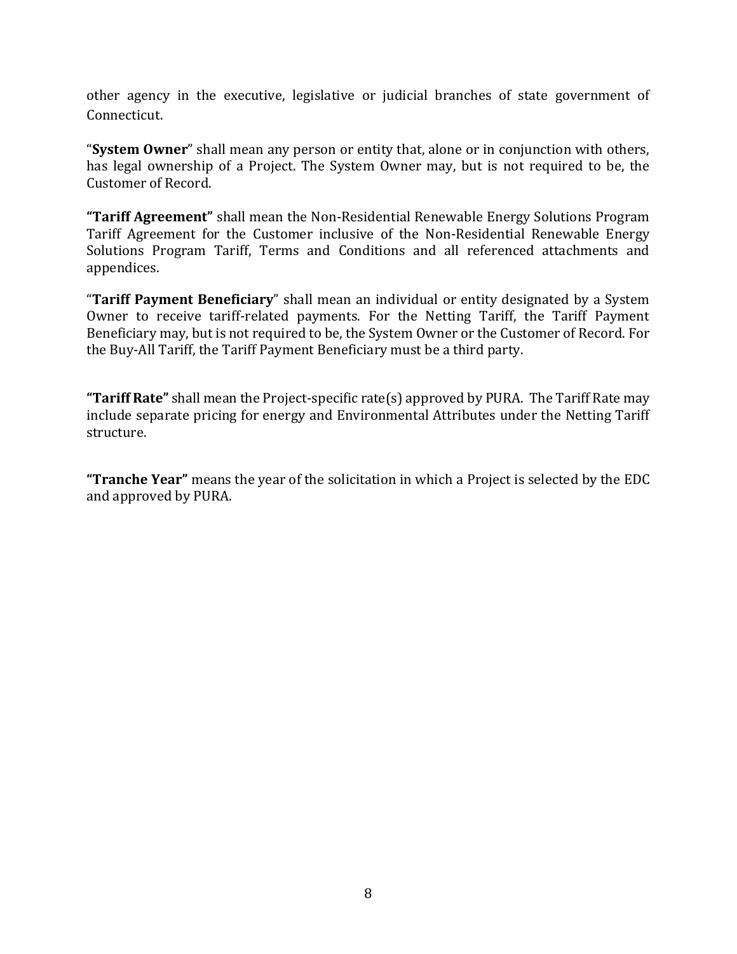other agency in the executive, legislative or judicial branches of state government of Connecticut.

"**System Owner**" shall mean any person or entity that, alone or in conjunction with others, has legal ownership of a Project. The System Owner may, but is not required to be, the Customer of Record.

**"Tariff Agreement"** shall mean the Non-Residential Renewable Energy Solutions Program Tariff Agreement for the Customer inclusive of the Non-Residential Renewable Energy Solutions Program Tariff, Terms and Conditions and all referenced attachments and appendices.

"**Tariff Payment Beneficiary**" shall mean an individual or entity designated by a System Owner to receive tariff-related payments. For the Netting Tariff, the Tariff Payment Beneficiary may, but is not required to be, the System Owner or the Customer of Record. For the Buy-All Tariff, the Tariff Payment Beneficiary must be a third party.

**"Tariff Rate"** shall mean the Project-specific rate(s) approved by PURA. The Tariff Rate may include separate pricing for energy and Environmental Attributes under the Netting Tariff structure.

**"Tranche Year"** means the year of the solicitation in which a Project is selected by the EDC and approved by PURA.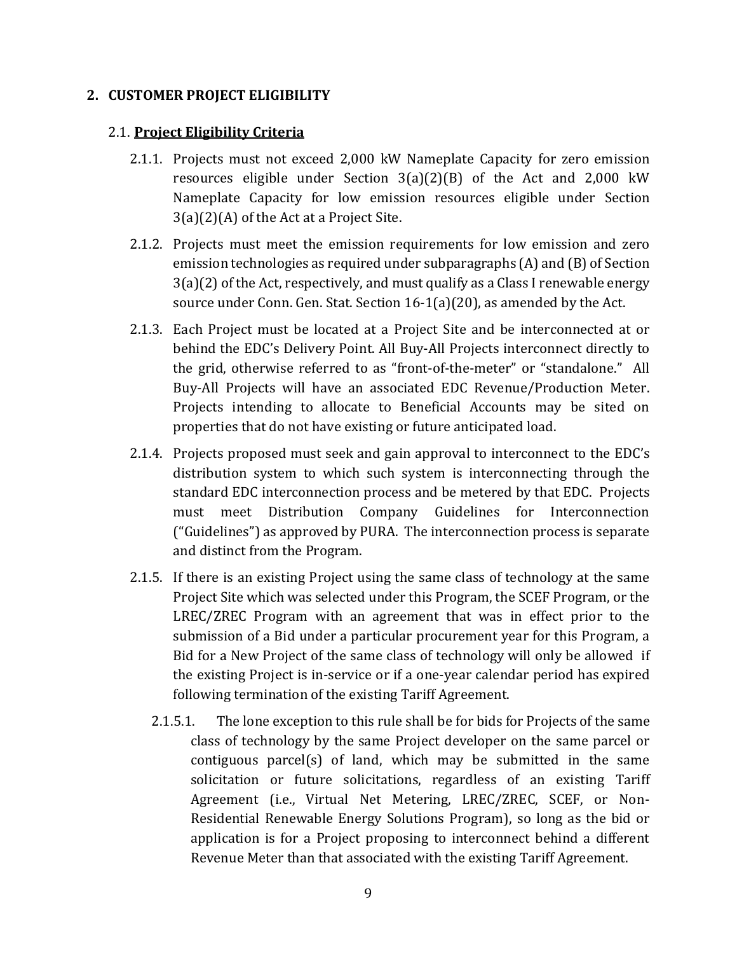#### <span id="page-8-0"></span>**2. CUSTOMER PROJECT ELIGIBILITY**

#### 2.1. **Project Eligibility Criteria**

- 2.1.1. Projects must not exceed 2,000 kW Nameplate Capacity for zero emission resources eligible under Section 3(a)(2)(B) of the Act and 2,000 kW Nameplate Capacity for low emission resources eligible under Section 3(a)(2)(A) of the Act at a Project Site.
- 2.1.2. Projects must meet the emission requirements for low emission and zero emission technologies as required under subparagraphs (A) and (B) of Section 3(a)(2) of the Act, respectively, and must qualify as a Class I renewable energy source under Conn. Gen. Stat. Section 16-1(a)(20), as amended by the Act.
- 2.1.3. Each Project must be located at a Project Site and be interconnected at or behind the EDC's Delivery Point. All Buy-All Projects interconnect directly to the grid, otherwise referred to as "front-of-the-meter" or "standalone." All Buy-All Projects will have an associated EDC Revenue/Production Meter. Projects intending to allocate to Beneficial Accounts may be sited on properties that do not have existing or future anticipated load.
- 2.1.4. Projects proposed must seek and gain approval to interconnect to the EDC's distribution system to which such system is interconnecting through the standard EDC interconnection process and be metered by that EDC. Projects must meet Distribution Company Guidelines for Interconnection ("Guidelines") as approved by PURA. The interconnection process is separate and distinct from the Program.
- 2.1.5. If there is an existing Project using the same class of technology at the same Project Site which was selected under this Program, the SCEF Program, or the LREC/ZREC Program with an agreement that was in effect prior to the submission of a Bid under a particular procurement year for this Program, a Bid for a New Project of the same class of technology will only be allowed if the existing Project is in-service or if a one-year calendar period has expired following termination of the existing Tariff Agreement.
	- 2.1.5.1. The lone exception to this rule shall be for bids for Projects of the same class of technology by the same Project developer on the same parcel or contiguous parcel(s) of land, which may be submitted in the same solicitation or future solicitations, regardless of an existing Tariff Agreement (i.e., Virtual Net Metering, LREC/ZREC, SCEF, or Non-Residential Renewable Energy Solutions Program), so long as the bid or application is for a Project proposing to interconnect behind a different Revenue Meter than that associated with the existing Tariff Agreement.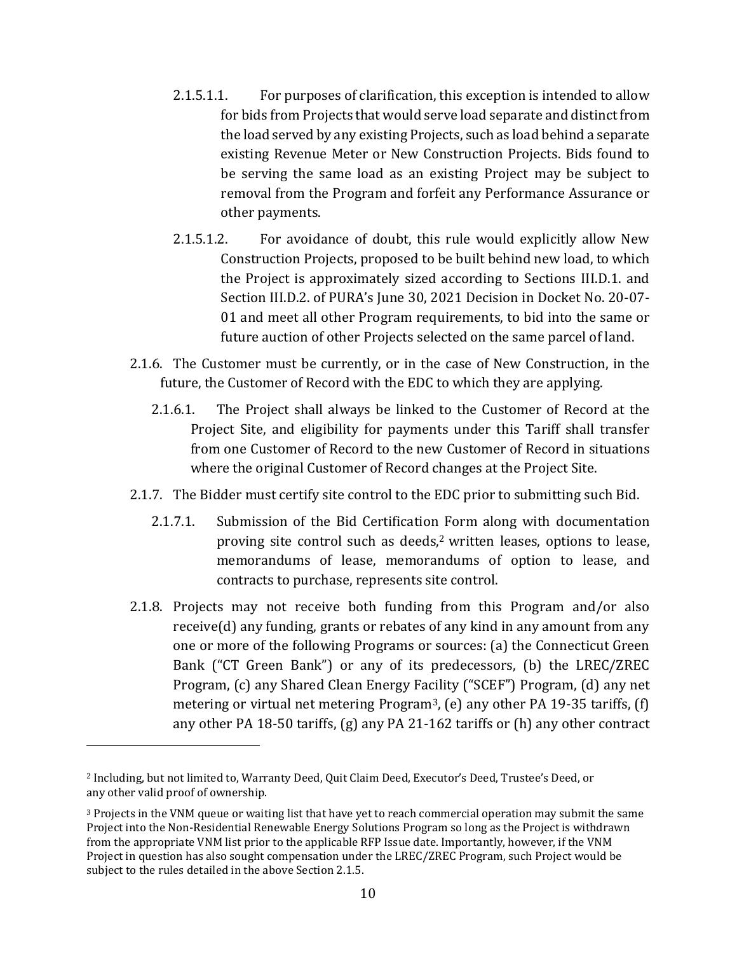- 2.1.5.1.1. For purposes of clarification, this exception is intended to allow for bids from Projects that would serve load separate and distinct from the load served by any existing Projects, such as load behind a separate existing Revenue Meter or New Construction Projects. Bids found to be serving the same load as an existing Project may be subject to removal from the Program and forfeit any Performance Assurance or other payments.
- 2.1.5.1.2. For avoidance of doubt, this rule would explicitly allow New Construction Projects, proposed to be built behind new load, to which the Project is approximately sized according to Sections III.D.1. and Section III.D.2. of PURA's June 30, 2021 Decision in Docket No. 20-07- 01 and meet all other Program requirements, to bid into the same or future auction of other Projects selected on the same parcel of land.
- 2.1.6. The Customer must be currently, or in the case of New Construction, in the future, the Customer of Record with the EDC to which they are applying.
	- 2.1.6.1. The Project shall always be linked to the Customer of Record at the Project Site, and eligibility for payments under this Tariff shall transfer from one Customer of Record to the new Customer of Record in situations where the original Customer of Record changes at the Project Site.
- 2.1.7. The Bidder must certify site control to the EDC prior to submitting such Bid.
	- 2.1.7.1. Submission of the Bid Certification Form along with documentation proving site control such as deeds,<sup>2</sup> written leases, options to lease, memorandums of lease, memorandums of option to lease, and contracts to purchase, represents site control.
- 2.1.8. Projects may not receive both funding from this Program and/or also receive(d) any funding, grants or rebates of any kind in any amount from any one or more of the following Programs or sources: (a) the Connecticut Green Bank ("CT Green Bank") or any of its predecessors, (b) the LREC/ZREC Program, (c) any Shared Clean Energy Facility ("SCEF") Program, (d) any net metering or virtual net metering Program<sup>3</sup>, (e) any other PA 19-35 tariffs, (f) any other PA 18-50 tariffs, (g) any PA 21-162 tariffs or (h) any other contract

<sup>2</sup> Including, but not limited to, Warranty Deed, Quit Claim Deed, Executor's Deed, Trustee's Deed, or any other valid proof of ownership.

<sup>3</sup> Projects in the VNM queue or waiting list that have yet to reach commercial operation may submit the same Project into the Non-Residential Renewable Energy Solutions Program so long as the Project is withdrawn from the appropriate VNM list prior to the applicable RFP Issue date. Importantly, however, if the VNM Project in question has also sought compensation under the LREC/ZREC Program, such Project would be subject to the rules detailed in the above Section 2.1.5.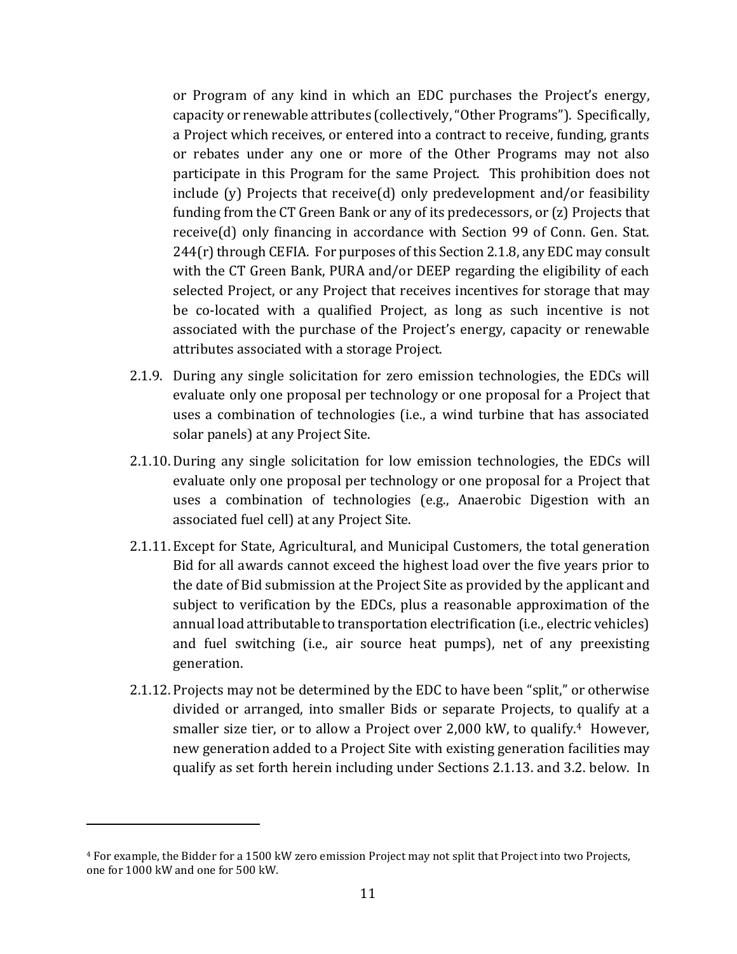or Program of any kind in which an EDC purchases the Project's energy, capacity or renewable attributes (collectively, "Other Programs"). Specifically, a Project which receives, or entered into a contract to receive, funding, grants or rebates under any one or more of the Other Programs may not also participate in this Program for the same Project. This prohibition does not include (y) Projects that receive(d) only predevelopment and/or feasibility funding from the CT Green Bank or any of its predecessors, or (z) Projects that receive(d) only financing in accordance with Section 99 of Conn. Gen. Stat. 244(r) through CEFIA. For purposes of this Section 2.1.8, any EDC may consult with the CT Green Bank, PURA and/or DEEP regarding the eligibility of each selected Project, or any Project that receives incentives for storage that may be co-located with a qualified Project, as long as such incentive is not associated with the purchase of the Project's energy, capacity or renewable attributes associated with a storage Project.

- 2.1.9. During any single solicitation for zero emission technologies, the EDCs will evaluate only one proposal per technology or one proposal for a Project that uses a combination of technologies (i.e., a wind turbine that has associated solar panels) at any Project Site.
- 2.1.10. During any single solicitation for low emission technologies, the EDCs will evaluate only one proposal per technology or one proposal for a Project that uses a combination of technologies (e.g., Anaerobic Digestion with an associated fuel cell) at any Project Site.
- 2.1.11. Except for State, Agricultural, and Municipal Customers, the total generation Bid for all awards cannot exceed the highest load over the five years prior to the date of Bid submission at the Project Site as provided by the applicant and subject to verification by the EDCs, plus a reasonable approximation of the annual load attributable to transportation electrification (i.e., electric vehicles) and fuel switching (i.e., air source heat pumps), net of any preexisting generation.
- 2.1.12. Projects may not be determined by the EDC to have been "split," or otherwise divided or arranged, into smaller Bids or separate Projects, to qualify at a smaller size tier, or to allow a Project over 2,000 kW, to qualify.<sup>4</sup> However, new generation added to a Project Site with existing generation facilities may qualify as set forth herein including under Sections 2.1.13. and 3.2. below. In

<sup>4</sup> For example, the Bidder for a 1500 kW zero emission Project may not split that Project into two Projects, one for 1000 kW and one for 500 kW.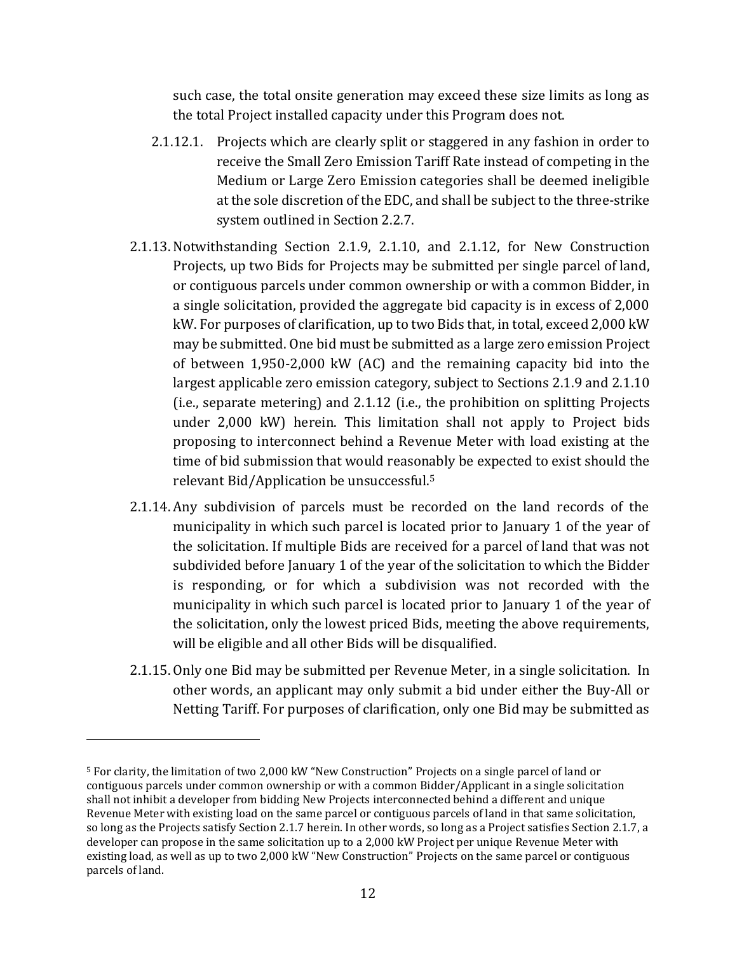such case, the total onsite generation may exceed these size limits as long as the total Project installed capacity under this Program does not.

- 2.1.12.1. Projects which are clearly split or staggered in any fashion in order to receive the Small Zero Emission Tariff Rate instead of competing in the Medium or Large Zero Emission categories shall be deemed ineligible at the sole discretion of the EDC, and shall be subject to the three-strike system outlined in Section 2.2.7.
- 2.1.13. Notwithstanding Section 2.1.9, 2.1.10, and 2.1.12, for New Construction Projects, up two Bids for Projects may be submitted per single parcel of land, or contiguous parcels under common ownership or with a common Bidder, in a single solicitation, provided the aggregate bid capacity is in excess of 2,000 kW. For purposes of clarification, up to two Bids that, in total, exceed 2,000 kW may be submitted. One bid must be submitted as a large zero emission Project of between 1,950-2,000 kW (AC) and the remaining capacity bid into the largest applicable zero emission category, subject to Sections 2.1.9 and 2.1.10 (i.e., separate metering) and 2.1.12 (i.e., the prohibition on splitting Projects under 2,000 kW) herein. This limitation shall not apply to Project bids proposing to interconnect behind a Revenue Meter with load existing at the time of bid submission that would reasonably be expected to exist should the relevant Bid/Application be unsuccessful.<sup>5</sup>
- 2.1.14. Any subdivision of parcels must be recorded on the land records of the municipality in which such parcel is located prior to January 1 of the year of the solicitation. If multiple Bids are received for a parcel of land that was not subdivided before January 1 of the year of the solicitation to which the Bidder is responding, or for which a subdivision was not recorded with the municipality in which such parcel is located prior to January 1 of the year of the solicitation, only the lowest priced Bids, meeting the above requirements, will be eligible and all other Bids will be disqualified.
- 2.1.15. Only one Bid may be submitted per Revenue Meter, in a single solicitation. In other words, an applicant may only submit a bid under either the Buy-All or Netting Tariff. For purposes of clarification, only one Bid may be submitted as

<sup>5</sup> For clarity, the limitation of two 2,000 kW "New Construction" Projects on a single parcel of land or contiguous parcels under common ownership or with a common Bidder/Applicant in a single solicitation shall not inhibit a developer from bidding New Projects interconnected behind a different and unique Revenue Meter with existing load on the same parcel or contiguous parcels of land in that same solicitation, so long as the Projects satisfy Section 2.1.7 herein. In other words, so long as a Project satisfies Section 2.1.7, a developer can propose in the same solicitation up to a 2,000 kW Project per unique Revenue Meter with existing load, as well as up to two 2,000 kW "New Construction" Projects on the same parcel or contiguous parcels of land.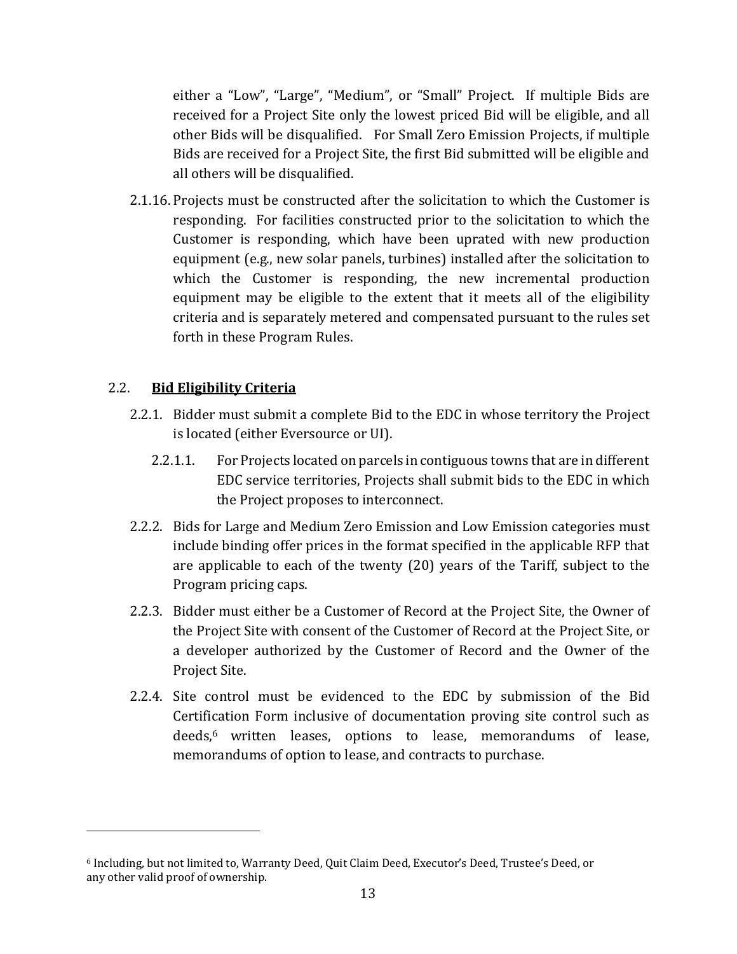either a "Low", "Large", "Medium", or "Small" Project. If multiple Bids are received for a Project Site only the lowest priced Bid will be eligible, and all other Bids will be disqualified. For Small Zero Emission Projects, if multiple Bids are received for a Project Site, the first Bid submitted will be eligible and all others will be disqualified.

2.1.16. Projects must be constructed after the solicitation to which the Customer is responding. For facilities constructed prior to the solicitation to which the Customer is responding, which have been uprated with new production equipment (e.g., new solar panels, turbines) installed after the solicitation to which the Customer is responding, the new incremental production equipment may be eligible to the extent that it meets all of the eligibility criteria and is separately metered and compensated pursuant to the rules set forth in these Program Rules.

### 2.2. **Bid Eligibility Criteria**

- 2.2.1. Bidder must submit a complete Bid to the EDC in whose territory the Project is located (either Eversource or UI).
	- 2.2.1.1. For Projects located on parcels in contiguous towns that are in different EDC service territories, Projects shall submit bids to the EDC in which the Project proposes to interconnect.
- 2.2.2. Bids for Large and Medium Zero Emission and Low Emission categories must include binding offer prices in the format specified in the applicable RFP that are applicable to each of the twenty (20) years of the Tariff, subject to the Program pricing caps.
- 2.2.3. Bidder must either be a Customer of Record at the Project Site, the Owner of the Project Site with consent of the Customer of Record at the Project Site, or a developer authorized by the Customer of Record and the Owner of the Project Site.
- 2.2.4. Site control must be evidenced to the EDC by submission of the Bid Certification Form inclusive of documentation proving site control such as deeds,<sup>6</sup> written leases, options to lease, memorandums of lease, memorandums of option to lease, and contracts to purchase.

<sup>6</sup> Including, but not limited to, Warranty Deed, Quit Claim Deed, Executor's Deed, Trustee's Deed, or any other valid proof of ownership.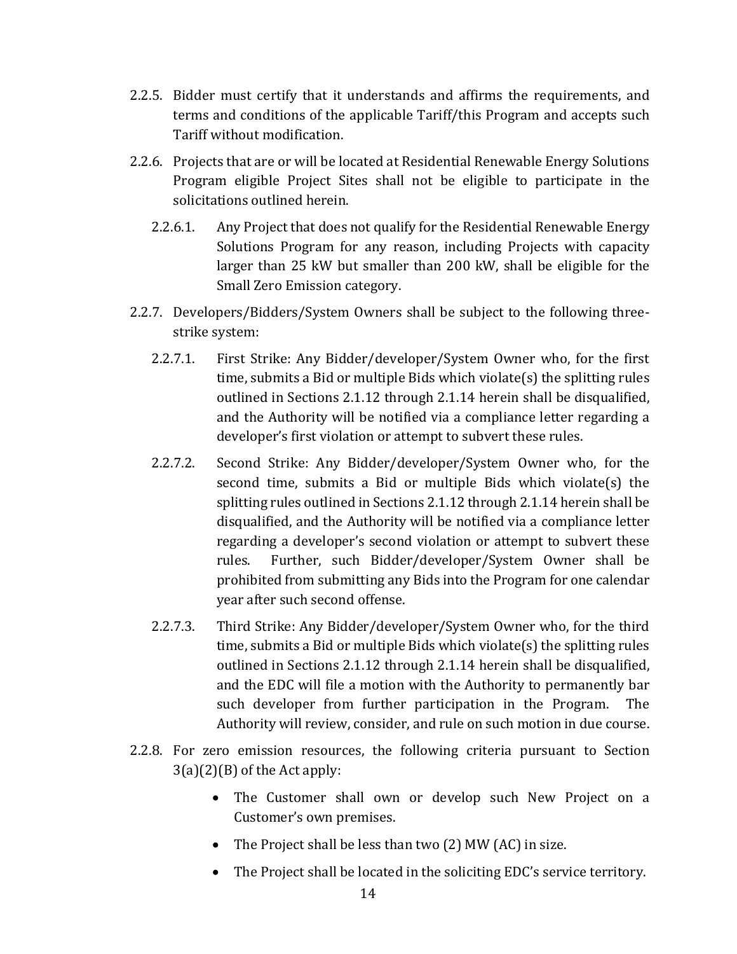- 2.2.5. Bidder must certify that it understands and affirms the requirements, and terms and conditions of the applicable Tariff/this Program and accepts such Tariff without modification.
- 2.2.6. Projects that are or will be located at Residential Renewable Energy Solutions Program eligible Project Sites shall not be eligible to participate in the solicitations outlined herein.
	- 2.2.6.1. Any Project that does not qualify for the Residential Renewable Energy Solutions Program for any reason, including Projects with capacity larger than 25 kW but smaller than 200 kW, shall be eligible for the Small Zero Emission category.
- 2.2.7. Developers/Bidders/System Owners shall be subject to the following threestrike system:
	- 2.2.7.1. First Strike: Any Bidder/developer/System Owner who, for the first time, submits a Bid or multiple Bids which violate(s) the splitting rules outlined in Sections 2.1.12 through 2.1.14 herein shall be disqualified, and the Authority will be notified via a compliance letter regarding a developer's first violation or attempt to subvert these rules.
	- 2.2.7.2. Second Strike: Any Bidder/developer/System Owner who, for the second time, submits a Bid or multiple Bids which violate(s) the splitting rules outlined in Sections 2.1.12 through 2.1.14 herein shall be disqualified, and the Authority will be notified via a compliance letter regarding a developer's second violation or attempt to subvert these rules. Further, such Bidder/developer/System Owner shall be prohibited from submitting any Bids into the Program for one calendar year after such second offense.
	- 2.2.7.3. Third Strike: Any Bidder/developer/System Owner who, for the third time, submits a Bid or multiple Bids which violate(s) the splitting rules outlined in Sections 2.1.12 through 2.1.14 herein shall be disqualified, and the EDC will file a motion with the Authority to permanently bar such developer from further participation in the Program. The Authority will review, consider, and rule on such motion in due course.
- 2.2.8. For zero emission resources, the following criteria pursuant to Section  $3(a)(2)(B)$  of the Act apply:
	- The Customer shall own or develop such New Project on a Customer's own premises.
	- The Project shall be less than two (2) MW (AC) in size.
	- The Project shall be located in the soliciting EDC's service territory.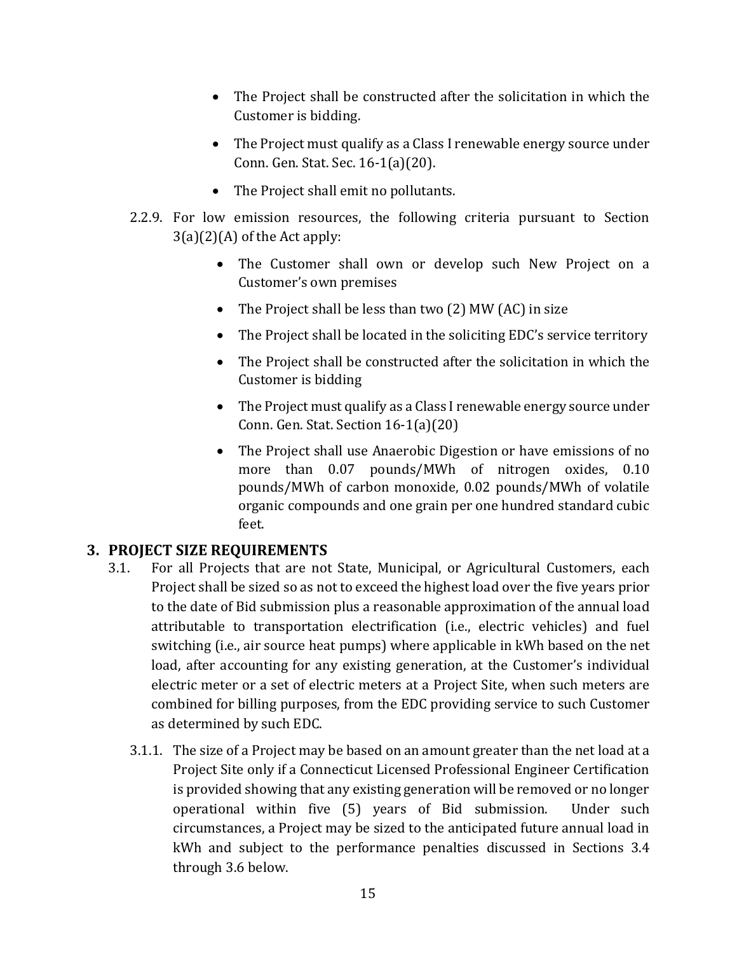- The Project shall be constructed after the solicitation in which the Customer is bidding.
- The Project must qualify as a Class I renewable energy source under Conn. Gen. Stat. Sec. 16-1(a)(20).
- The Project shall emit no pollutants.
- 2.2.9. For low emission resources, the following criteria pursuant to Section  $3(a)(2)(A)$  of the Act apply:
	- The Customer shall own or develop such New Project on a Customer's own premises
	- The Project shall be less than two (2) MW (AC) in size
	- The Project shall be located in the soliciting EDC's service territory
	- The Project shall be constructed after the solicitation in which the Customer is bidding
	- The Project must qualify as a Class I renewable energy source under Conn. Gen. Stat. Section 16-1(a)(20)
	- The Project shall use Anaerobic Digestion or have emissions of no more than 0.07 pounds/MWh of nitrogen oxides, 0.10 pounds/MWh of carbon monoxide, 0.02 pounds/MWh of volatile organic compounds and one grain per one hundred standard cubic feet.

# <span id="page-14-0"></span>**3. PROJECT SIZE REQUIREMENTS**

- 3.1. For all Projects that are not State, Municipal, or Agricultural Customers, each Project shall be sized so as not to exceed the highest load over the five years prior to the date of Bid submission plus a reasonable approximation of the annual load attributable to transportation electrification (i.e., electric vehicles) and fuel switching (i.e., air source heat pumps) where applicable in kWh based on the net load, after accounting for any existing generation, at the Customer's individual electric meter or a set of electric meters at a Project Site, when such meters are combined for billing purposes, from the EDC providing service to such Customer as determined by such EDC.
	- 3.1.1. The size of a Project may be based on an amount greater than the net load at a Project Site only if a Connecticut Licensed Professional Engineer Certification is provided showing that any existing generation will be removed or no longer operational within five (5) years of Bid submission. Under such circumstances, a Project may be sized to the anticipated future annual load in kWh and subject to the performance penalties discussed in Sections 3.4 through 3.6 below.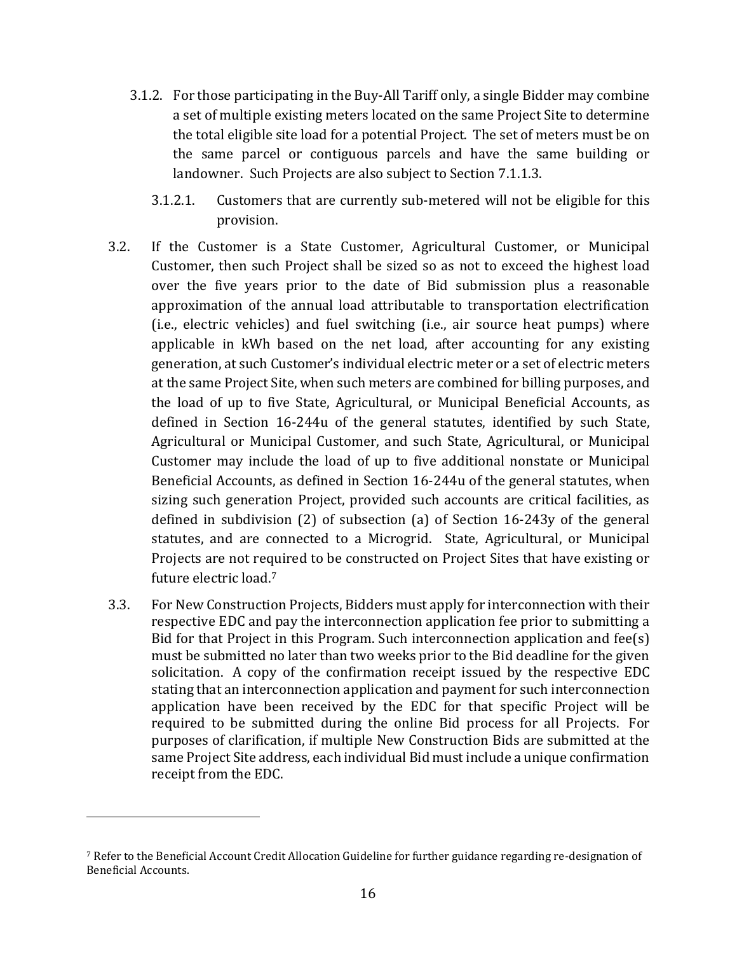- 3.1.2. For those participating in the Buy-All Tariff only, a single Bidder may combine a set of multiple existing meters located on the same Project Site to determine the total eligible site load for a potential Project. The set of meters must be on the same parcel or contiguous parcels and have the same building or landowner. Such Projects are also subject to Section 7.1.1.3.
	- 3.1.2.1. Customers that are currently sub-metered will not be eligible for this provision.
- 3.2. If the Customer is a State Customer, Agricultural Customer, or Municipal Customer, then such Project shall be sized so as not to exceed the highest load over the five years prior to the date of Bid submission plus a reasonable approximation of the annual load attributable to transportation electrification (i.e., electric vehicles) and fuel switching (i.e., air source heat pumps) where applicable in kWh based on the net load, after accounting for any existing generation, at such Customer's individual electric meter or a set of electric meters at the same Project Site, when such meters are combined for billing purposes, and the load of up to five State, Agricultural, or Municipal Beneficial Accounts, as defined in Section 16-244u of the general statutes, identified by such State, Agricultural or Municipal Customer, and such State, Agricultural, or Municipal Customer may include the load of up to five additional nonstate or Municipal Beneficial Accounts, as defined in Section 16-244u of the general statutes, when sizing such generation Project, provided such accounts are critical facilities, as defined in subdivision (2) of subsection (a) of Section 16-243y of the general statutes, and are connected to a Microgrid. State, Agricultural, or Municipal Projects are not required to be constructed on Project Sites that have existing or future electric load.<sup>7</sup>
- 3.3. For New Construction Projects, Bidders must apply for interconnection with their respective EDC and pay the interconnection application fee prior to submitting a Bid for that Project in this Program. Such interconnection application and fee(s) must be submitted no later than two weeks prior to the Bid deadline for the given solicitation. A copy of the confirmation receipt issued by the respective EDC stating that an interconnection application and payment for such interconnection application have been received by the EDC for that specific Project will be required to be submitted during the online Bid process for all Projects. For purposes of clarification, if multiple New Construction Bids are submitted at the same Project Site address, each individual Bid must include a unique confirmation receipt from the EDC.

<sup>7</sup> Refer to the Beneficial Account Credit Allocation Guideline for further guidance regarding re-designation of Beneficial Accounts.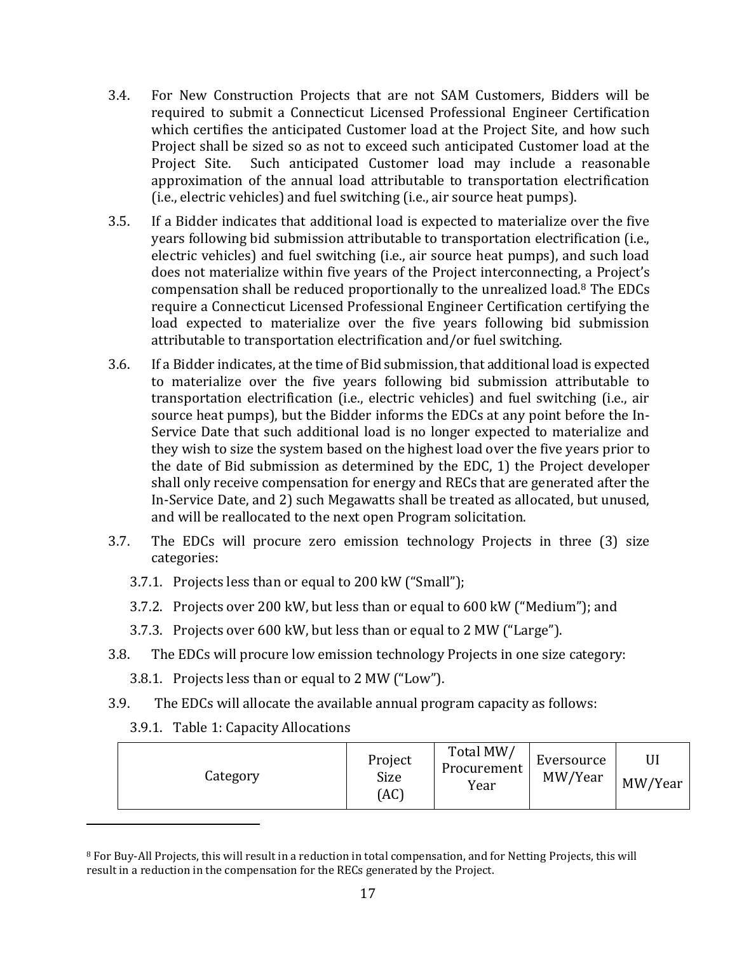- 3.4. For New Construction Projects that are not SAM Customers, Bidders will be required to submit a Connecticut Licensed Professional Engineer Certification which certifies the anticipated Customer load at the Project Site, and how such Project shall be sized so as not to exceed such anticipated Customer load at the Project Site. Such anticipated Customer load may include a reasonable approximation of the annual load attributable to transportation electrification (i.e., electric vehicles) and fuel switching (i.e., air source heat pumps).
- 3.5. If a Bidder indicates that additional load is expected to materialize over the five years following bid submission attributable to transportation electrification (i.e., electric vehicles) and fuel switching (i.e., air source heat pumps), and such load does not materialize within five years of the Project interconnecting, a Project's compensation shall be reduced proportionally to the unrealized load.<sup>8</sup> The EDCs require a Connecticut Licensed Professional Engineer Certification certifying the load expected to materialize over the five years following bid submission attributable to transportation electrification and/or fuel switching.
- 3.6. If a Bidder indicates, at the time of Bid submission, that additional load is expected to materialize over the five years following bid submission attributable to transportation electrification (i.e., electric vehicles) and fuel switching (i.e., air source heat pumps), but the Bidder informs the EDCs at any point before the In-Service Date that such additional load is no longer expected to materialize and they wish to size the system based on the highest load over the five years prior to the date of Bid submission as determined by the EDC, 1) the Project developer shall only receive compensation for energy and RECs that are generated after the In-Service Date, and 2) such Megawatts shall be treated as allocated, but unused, and will be reallocated to the next open Program solicitation.
- 3.7. The EDCs will procure zero emission technology Projects in three (3) size categories:
	- 3.7.1. Projects less than or equal to 200 kW ("Small");
	- 3.7.2. Projects over 200 kW, but less than or equal to 600 kW ("Medium"); and
	- 3.7.3. Projects over 600 kW, but less than or equal to 2 MW ("Large").
- 3.8. The EDCs will procure low emission technology Projects in one size category:
	- 3.8.1. Projects less than or equal to 2 MW ("Low").
- 3.9. The EDCs will allocate the available annual program capacity as follows:
	- 3.9.1. Table 1: Capacity Allocations

| Category | Project<br>Size<br>(AC | Total MW/<br>Procurement<br>Year | Eversource<br>MW/Year | MW/Year |
|----------|------------------------|----------------------------------|-----------------------|---------|
|----------|------------------------|----------------------------------|-----------------------|---------|

<sup>8</sup> For Buy-All Projects, this will result in a reduction in total compensation, and for Netting Projects, this will result in a reduction in the compensation for the RECs generated by the Project.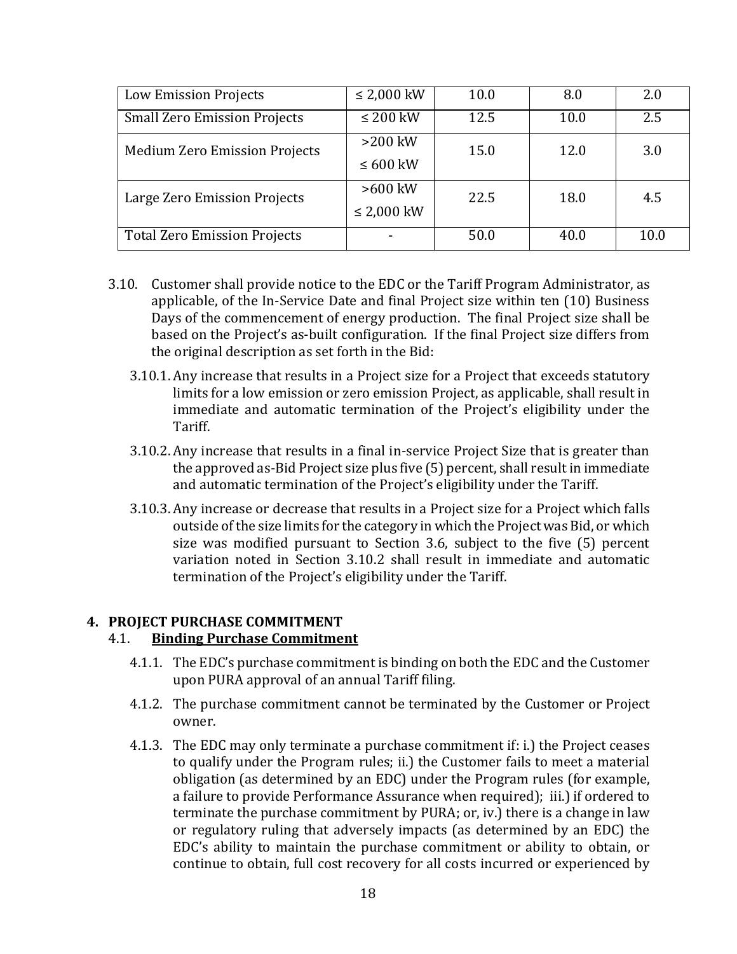| <b>Low Emission Projects</b>         | $\leq$ 2,000 kW | 10.0 | 8.0  | 2.0  |  |
|--------------------------------------|-----------------|------|------|------|--|
| <b>Small Zero Emission Projects</b>  | $\leq 200$ kW   | 12.5 | 10.0 | 2.5  |  |
| <b>Medium Zero Emission Projects</b> | $>200$ kW       | 15.0 | 12.0 | 3.0  |  |
|                                      | $\leq 600$ kW   |      |      |      |  |
| Large Zero Emission Projects         | $>600$ kW       | 22.5 | 18.0 | 4.5  |  |
|                                      | $\leq$ 2,000 kW |      |      |      |  |
| <b>Total Zero Emission Projects</b>  |                 | 50.0 | 40.0 | 10.0 |  |

- 3.10. Customer shall provide notice to the EDC or the Tariff Program Administrator, as applicable, of the In-Service Date and final Project size within ten (10) Business Days of the commencement of energy production. The final Project size shall be based on the Project's as-built configuration. If the final Project size differs from the original description as set forth in the Bid:
	- 3.10.1. Any increase that results in a Project size for a Project that exceeds statutory limits for a low emission or zero emission Project, as applicable, shall result in immediate and automatic termination of the Project's eligibility under the Tariff.
	- 3.10.2. Any increase that results in a final in-service Project Size that is greater than the approved as-Bid Project size plus five (5) percent, shall result in immediate and automatic termination of the Project's eligibility under the Tariff.
	- 3.10.3. Any increase or decrease that results in a Project size for a Project which falls outside of the size limits for the category in which the Project was Bid, or which size was modified pursuant to Section 3.6, subject to the five (5) percent variation noted in Section 3.10.2 shall result in immediate and automatic termination of the Project's eligibility under the Tariff.

#### <span id="page-17-0"></span>**4. PROJECT PURCHASE COMMITMENT**

### 4.1. **Binding Purchase Commitment**

- 4.1.1. The EDC's purchase commitment is binding on both the EDC and the Customer upon PURA approval of an annual Tariff filing.
- 4.1.2. The purchase commitment cannot be terminated by the Customer or Project owner.
- 4.1.3. The EDC may only terminate a purchase commitment if: i.) the Project ceases to qualify under the Program rules; ii.) the Customer fails to meet a material obligation (as determined by an EDC) under the Program rules (for example, a failure to provide Performance Assurance when required); iii.) if ordered to terminate the purchase commitment by PURA; or, iv.) there is a change in law or regulatory ruling that adversely impacts (as determined by an EDC) the EDC's ability to maintain the purchase commitment or ability to obtain, or continue to obtain, full cost recovery for all costs incurred or experienced by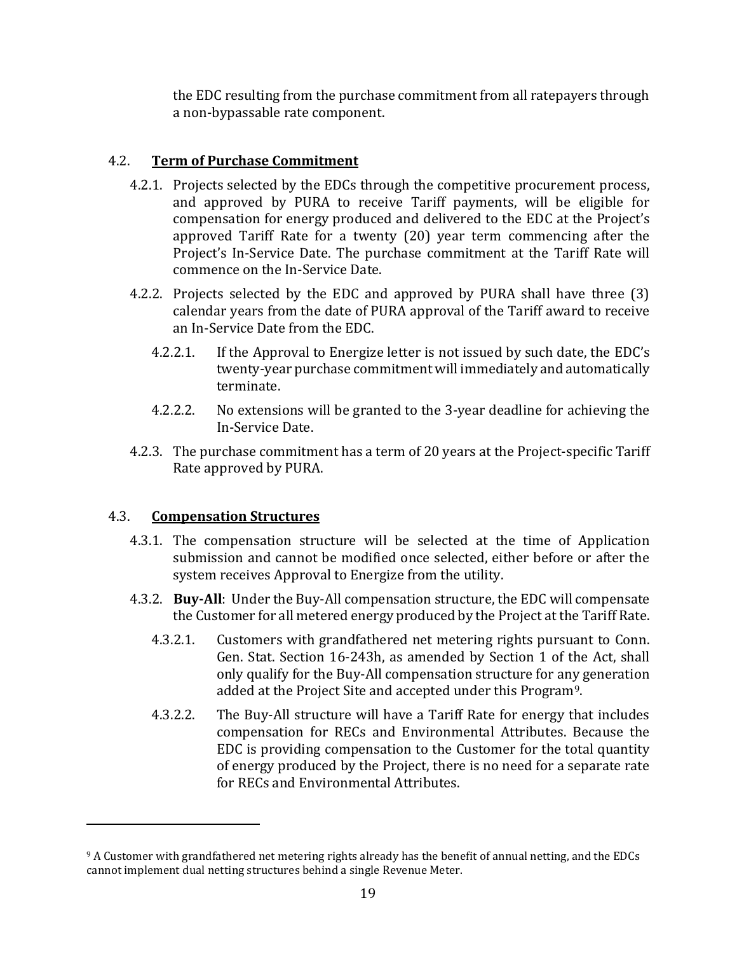the EDC resulting from the purchase commitment from all ratepayers through a non-bypassable rate component.

## 4.2. **Term of Purchase Commitment**

- 4.2.1. Projects selected by the EDCs through the competitive procurement process, and approved by PURA to receive Tariff payments, will be eligible for compensation for energy produced and delivered to the EDC at the Project's approved Tariff Rate for a twenty (20) year term commencing after the Project's In-Service Date. The purchase commitment at the Tariff Rate will commence on the In-Service Date.
- 4.2.2. Projects selected by the EDC and approved by PURA shall have three (3) calendar years from the date of PURA approval of the Tariff award to receive an In-Service Date from the EDC.
	- 4.2.2.1. If the Approval to Energize letter is not issued by such date, the EDC's twenty-year purchase commitment will immediately and automatically terminate.
	- 4.2.2.2. No extensions will be granted to the 3-year deadline for achieving the In-Service Date.
- 4.2.3. The purchase commitment has a term of 20 years at the Project-specific Tariff Rate approved by PURA.

### 4.3. **Compensation Structures**

- 4.3.1. The compensation structure will be selected at the time of Application submission and cannot be modified once selected, either before or after the system receives Approval to Energize from the utility.
- 4.3.2. **Buy-All**: Under the Buy-All compensation structure, the EDC will compensate the Customer for all metered energy produced by the Project at the Tariff Rate.
	- 4.3.2.1. Customers with grandfathered net metering rights pursuant to Conn. Gen. Stat. Section 16-243h, as amended by Section 1 of the Act, shall only qualify for the Buy-All compensation structure for any generation added at the Project Site and accepted under this Program9.
	- 4.3.2.2. The Buy-All structure will have a Tariff Rate for energy that includes compensation for RECs and Environmental Attributes. Because the EDC is providing compensation to the Customer for the total quantity of energy produced by the Project, there is no need for a separate rate for RECs and Environmental Attributes.

<sup>9</sup> A Customer with grandfathered net metering rights already has the benefit of annual netting, and the EDCs cannot implement dual netting structures behind a single Revenue Meter.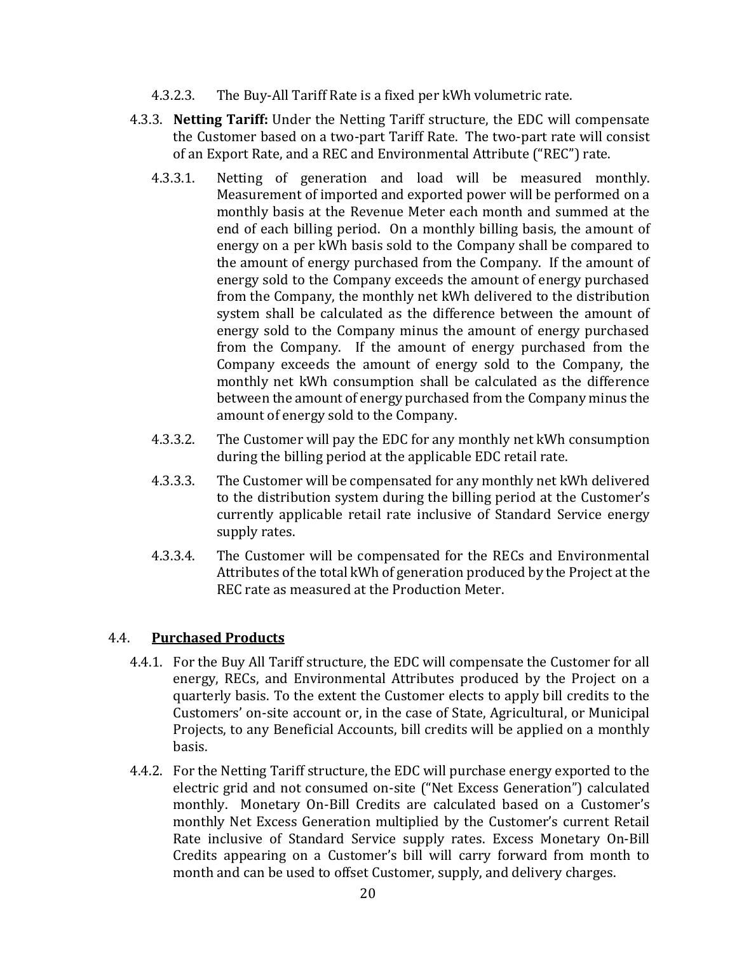- 4.3.2.3. The Buy-All Tariff Rate is a fixed per kWh volumetric rate.
- 4.3.3. **Netting Tariff:** Under the Netting Tariff structure, the EDC will compensate the Customer based on a two-part Tariff Rate. The two-part rate will consist of an Export Rate, and a REC and Environmental Attribute ("REC") rate.
	- 4.3.3.1. Netting of generation and load will be measured monthly. Measurement of imported and exported power will be performed on a monthly basis at the Revenue Meter each month and summed at the end of each billing period. On a monthly billing basis, the amount of energy on a per kWh basis sold to the Company shall be compared to the amount of energy purchased from the Company. If the amount of energy sold to the Company exceeds the amount of energy purchased from the Company, the monthly net kWh delivered to the distribution system shall be calculated as the difference between the amount of energy sold to the Company minus the amount of energy purchased from the Company. If the amount of energy purchased from the Company exceeds the amount of energy sold to the Company, the monthly net kWh consumption shall be calculated as the difference between the amount of energy purchased from the Company minus the amount of energy sold to the Company.
	- 4.3.3.2. The Customer will pay the EDC for any monthly net kWh consumption during the billing period at the applicable EDC retail rate.
	- 4.3.3.3. The Customer will be compensated for any monthly net kWh delivered to the distribution system during the billing period at the Customer's currently applicable retail rate inclusive of Standard Service energy supply rates.
	- 4.3.3.4. The Customer will be compensated for the RECs and Environmental Attributes of the total kWh of generation produced by the Project at the REC rate as measured at the Production Meter.

### 4.4. **Purchased Products**

- 4.4.1. For the Buy All Tariff structure, the EDC will compensate the Customer for all energy, RECs, and Environmental Attributes produced by the Project on a quarterly basis. To the extent the Customer elects to apply bill credits to the Customers' on-site account or, in the case of State, Agricultural, or Municipal Projects, to any Beneficial Accounts, bill credits will be applied on a monthly basis.
- 4.4.2. For the Netting Tariff structure, the EDC will purchase energy exported to the electric grid and not consumed on-site ("Net Excess Generation") calculated monthly. Monetary On-Bill Credits are calculated based on a Customer's monthly Net Excess Generation multiplied by the Customer's current Retail Rate inclusive of Standard Service supply rates. Excess Monetary On-Bill Credits appearing on a Customer's bill will carry forward from month to month and can be used to offset Customer, supply, and delivery charges.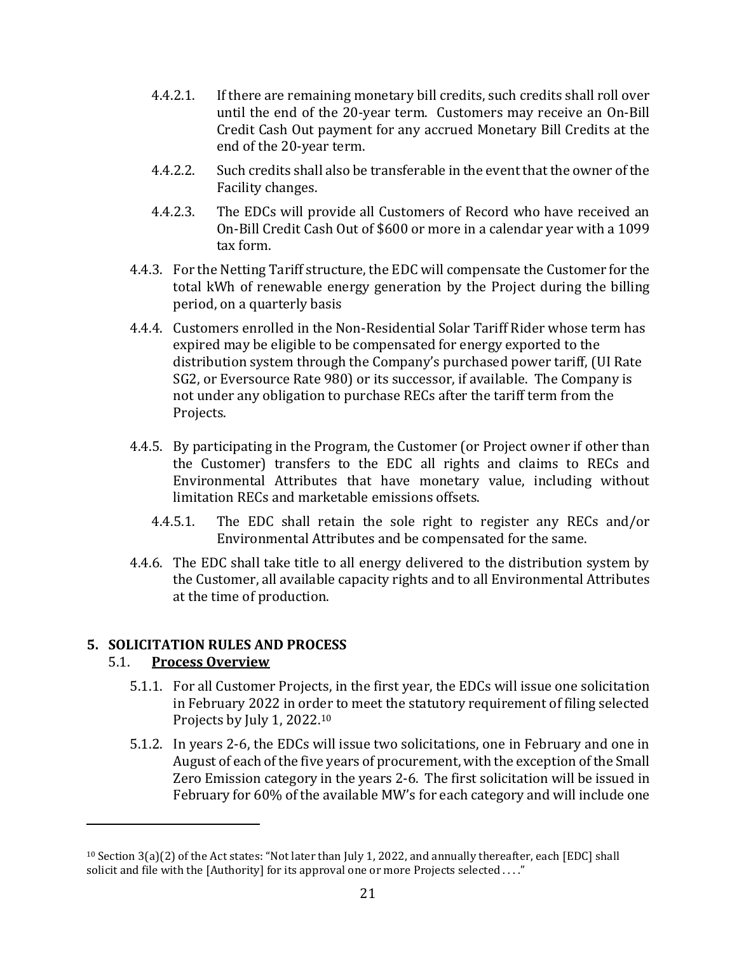- 4.4.2.1. If there are remaining monetary bill credits, such credits shall roll over until the end of the 20-year term. Customers may receive an On-Bill Credit Cash Out payment for any accrued Monetary Bill Credits at the end of the 20-year term.
- 4.4.2.2. Such credits shall also be transferable in the event that the owner of the Facility changes.
- 4.4.2.3. The EDCs will provide all Customers of Record who have received an On-Bill Credit Cash Out of \$600 or more in a calendar year with a 1099 tax form.
- 4.4.3. For the Netting Tariff structure, the EDC will compensate the Customer for the total kWh of renewable energy generation by the Project during the billing period, on a quarterly basis
- 4.4.4. Customers enrolled in the Non-Residential Solar Tariff Rider whose term has expired may be eligible to be compensated for energy exported to the distribution system through the Company's purchased power tariff, (UI Rate SG2, or Eversource Rate 980) or its successor, if available. The Company is not under any obligation to purchase RECs after the tariff term from the Projects.
- 4.4.5. By participating in the Program, the Customer (or Project owner if other than the Customer) transfers to the EDC all rights and claims to RECs and Environmental Attributes that have monetary value, including without limitation RECs and marketable emissions offsets.
	- 4.4.5.1. The EDC shall retain the sole right to register any RECs and/or Environmental Attributes and be compensated for the same.
- 4.4.6. The EDC shall take title to all energy delivered to the distribution system by the Customer, all available capacity rights and to all Environmental Attributes at the time of production.

### <span id="page-20-0"></span>**5. SOLICITATION RULES AND PROCESS**

### 5.1. **Process Overview**

- 5.1.1. For all Customer Projects, in the first year, the EDCs will issue one solicitation in February 2022 in order to meet the statutory requirement of filing selected Projects by July 1, 2022.<sup>10</sup>
- 5.1.2. In years 2-6, the EDCs will issue two solicitations, one in February and one in August of each of the five years of procurement, with the exception of the Small Zero Emission category in the years 2-6. The first solicitation will be issued in February for 60% of the available MW's for each category and will include one

<sup>10</sup> Section 3(a)(2) of the Act states: "Not later than July 1, 2022, and annually thereafter, each [EDC] shall solicit and file with the [Authority] for its approval one or more Projects selected ...."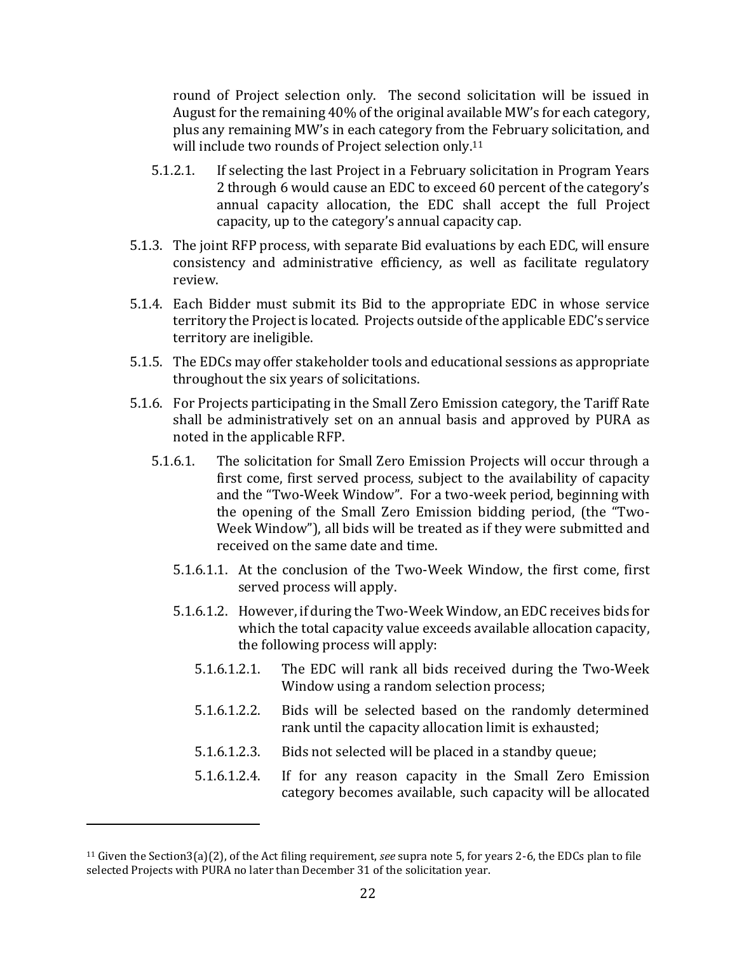round of Project selection only. The second solicitation will be issued in August for the remaining 40% of the original available MW's for each category, plus any remaining MW's in each category from the February solicitation, and will include two rounds of Project selection only.<sup>11</sup>

- 5.1.2.1. If selecting the last Project in a February solicitation in Program Years 2 through 6 would cause an EDC to exceed 60 percent of the category's annual capacity allocation, the EDC shall accept the full Project capacity, up to the category's annual capacity cap.
- 5.1.3. The joint RFP process, with separate Bid evaluations by each EDC, will ensure consistency and administrative efficiency, as well as facilitate regulatory review.
- 5.1.4. Each Bidder must submit its Bid to the appropriate EDC in whose service territory the Project is located. Projects outside of the applicable EDC's service territory are ineligible.
- 5.1.5. The EDCs may offer stakeholder tools and educational sessions as appropriate throughout the six years of solicitations.
- 5.1.6. For Projects participating in the Small Zero Emission category, the Tariff Rate shall be administratively set on an annual basis and approved by PURA as noted in the applicable RFP.
	- 5.1.6.1. The solicitation for Small Zero Emission Projects will occur through a first come, first served process, subject to the availability of capacity and the "Two-Week Window". For a two-week period, beginning with the opening of the Small Zero Emission bidding period, (the "Two-Week Window"), all bids will be treated as if they were submitted and received on the same date and time.
		- 5.1.6.1.1. At the conclusion of the Two-Week Window, the first come, first served process will apply.
		- 5.1.6.1.2. However, if during the Two-Week Window, an EDC receives bids for which the total capacity value exceeds available allocation capacity, the following process will apply:
			- 5.1.6.1.2.1. The EDC will rank all bids received during the Two-Week Window using a random selection process;
			- 5.1.6.1.2.2. Bids will be selected based on the randomly determined rank until the capacity allocation limit is exhausted;
			- 5.1.6.1.2.3. Bids not selected will be placed in a standby queue;
			- 5.1.6.1.2.4. If for any reason capacity in the Small Zero Emission category becomes available, such capacity will be allocated

<sup>11</sup> Given the Section3(a)(2), of the Act filing requirement, *see* supra note 5, for years 2-6, the EDCs plan to file selected Projects with PURA no later than December 31 of the solicitation year.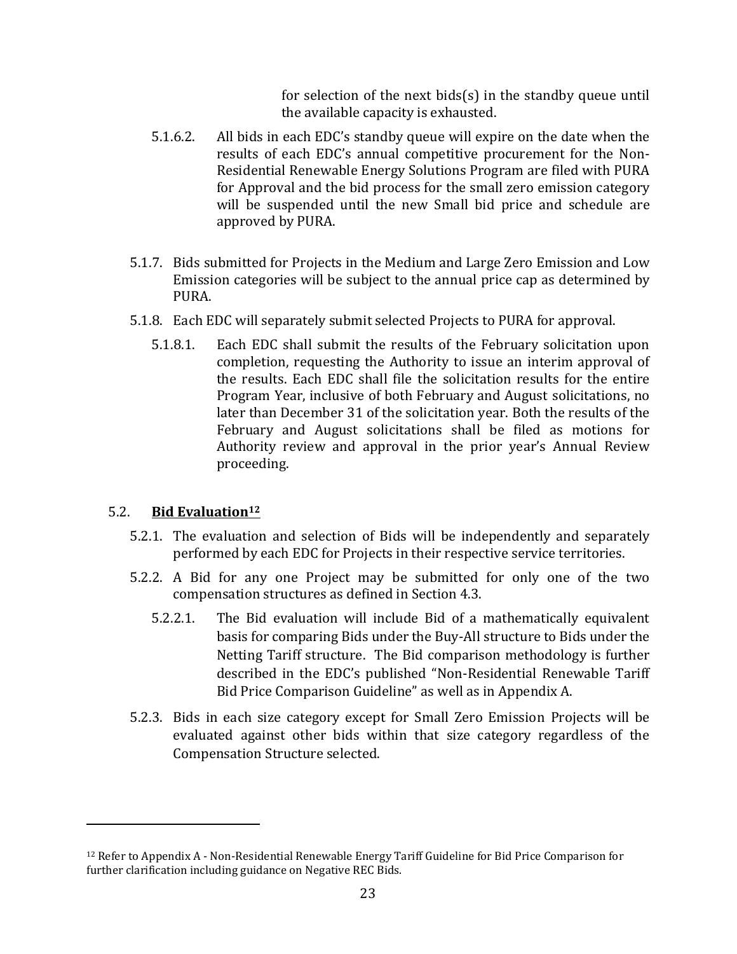for selection of the next bids(s) in the standby queue until the available capacity is exhausted.

- 5.1.6.2. All bids in each EDC's standby queue will expire on the date when the results of each EDC's annual competitive procurement for the Non-Residential Renewable Energy Solutions Program are filed with PURA for Approval and the bid process for the small zero emission category will be suspended until the new Small bid price and schedule are approved by PURA.
- 5.1.7. Bids submitted for Projects in the Medium and Large Zero Emission and Low Emission categories will be subject to the annual price cap as determined by PURA.
- 5.1.8. Each EDC will separately submit selected Projects to PURA for approval.
	- 5.1.8.1. Each EDC shall submit the results of the February solicitation upon completion, requesting the Authority to issue an interim approval of the results. Each EDC shall file the solicitation results for the entire Program Year, inclusive of both February and August solicitations, no later than December 31 of the solicitation year. Both the results of the February and August solicitations shall be filed as motions for Authority review and approval in the prior year's Annual Review proceeding.

### 5.2. **Bid Evaluation<sup>12</sup>**

- 5.2.1. The evaluation and selection of Bids will be independently and separately performed by each EDC for Projects in their respective service territories.
- 5.2.2. A Bid for any one Project may be submitted for only one of the two compensation structures as defined in Section 4.3.
	- 5.2.2.1. The Bid evaluation will include Bid of a mathematically equivalent basis for comparing Bids under the Buy-All structure to Bids under the Netting Tariff structure. The Bid comparison methodology is further described in the EDC's published "Non-Residential Renewable Tariff Bid Price Comparison Guideline" as well as in Appendix A.
- 5.2.3. Bids in each size category except for Small Zero Emission Projects will be evaluated against other bids within that size category regardless of the Compensation Structure selected.

<sup>12</sup> Refer to Appendix A - Non-Residential Renewable Energy Tariff Guideline for Bid Price Comparison for further clarification including guidance on Negative REC Bids.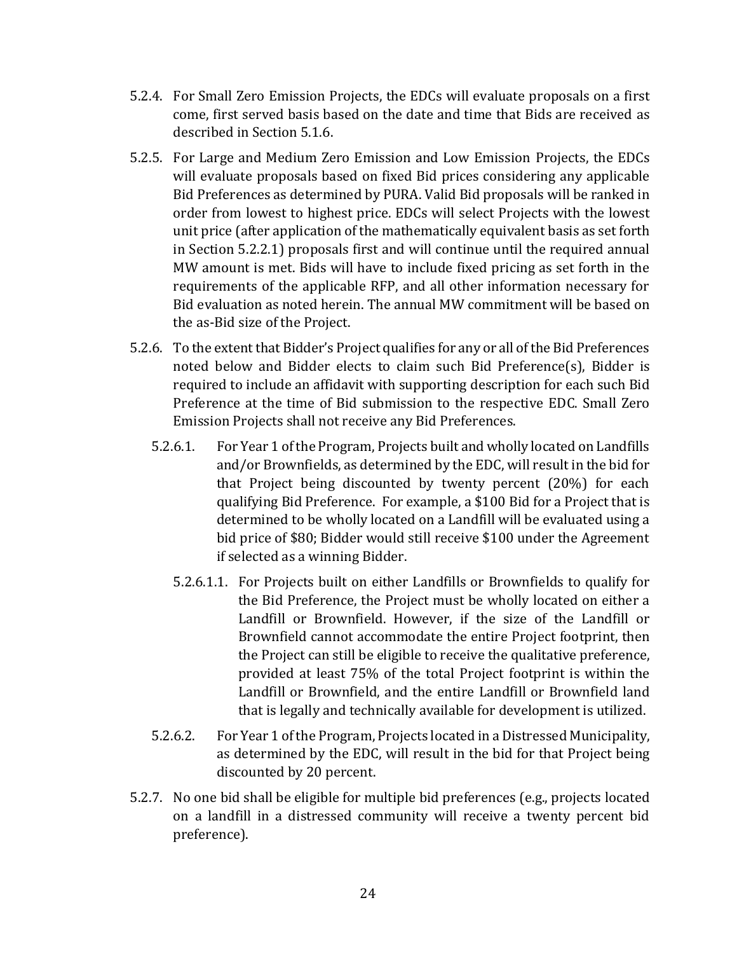- 5.2.4. For Small Zero Emission Projects, the EDCs will evaluate proposals on a first come, first served basis based on the date and time that Bids are received as described in Section 5.1.6.
- 5.2.5. For Large and Medium Zero Emission and Low Emission Projects, the EDCs will evaluate proposals based on fixed Bid prices considering any applicable Bid Preferences as determined by PURA. Valid Bid proposals will be ranked in order from lowest to highest price. EDCs will select Projects with the lowest unit price (after application of the mathematically equivalent basis as set forth in Section 5.2.2.1) proposals first and will continue until the required annual MW amount is met. Bids will have to include fixed pricing as set forth in the requirements of the applicable RFP, and all other information necessary for Bid evaluation as noted herein. The annual MW commitment will be based on the as-Bid size of the Project.
- 5.2.6. To the extent that Bidder's Project qualifies for any or all of the Bid Preferences noted below and Bidder elects to claim such Bid Preference(s), Bidder is required to include an affidavit with supporting description for each such Bid Preference at the time of Bid submission to the respective EDC. Small Zero Emission Projects shall not receive any Bid Preferences.
	- 5.2.6.1. For Year 1 of the Program, Projects built and wholly located on Landfills and/or Brownfields, as determined by the EDC, will result in the bid for that Project being discounted by twenty percent (20%) for each qualifying Bid Preference. For example, a \$100 Bid for a Project that is determined to be wholly located on a Landfill will be evaluated using a bid price of \$80; Bidder would still receive \$100 under the Agreement if selected as a winning Bidder.
		- 5.2.6.1.1. For Projects built on either Landfills or Brownfields to qualify for the Bid Preference, the Project must be wholly located on either a Landfill or Brownfield. However, if the size of the Landfill or Brownfield cannot accommodate the entire Project footprint, then the Project can still be eligible to receive the qualitative preference, provided at least 75% of the total Project footprint is within the Landfill or Brownfield, and the entire Landfill or Brownfield land that is legally and technically available for development is utilized.
	- 5.2.6.2. For Year 1 of the Program, Projects located in a Distressed Municipality, as determined by the EDC, will result in the bid for that Project being discounted by 20 percent.
- 5.2.7. No one bid shall be eligible for multiple bid preferences (e.g., projects located on a landfill in a distressed community will receive a twenty percent bid preference).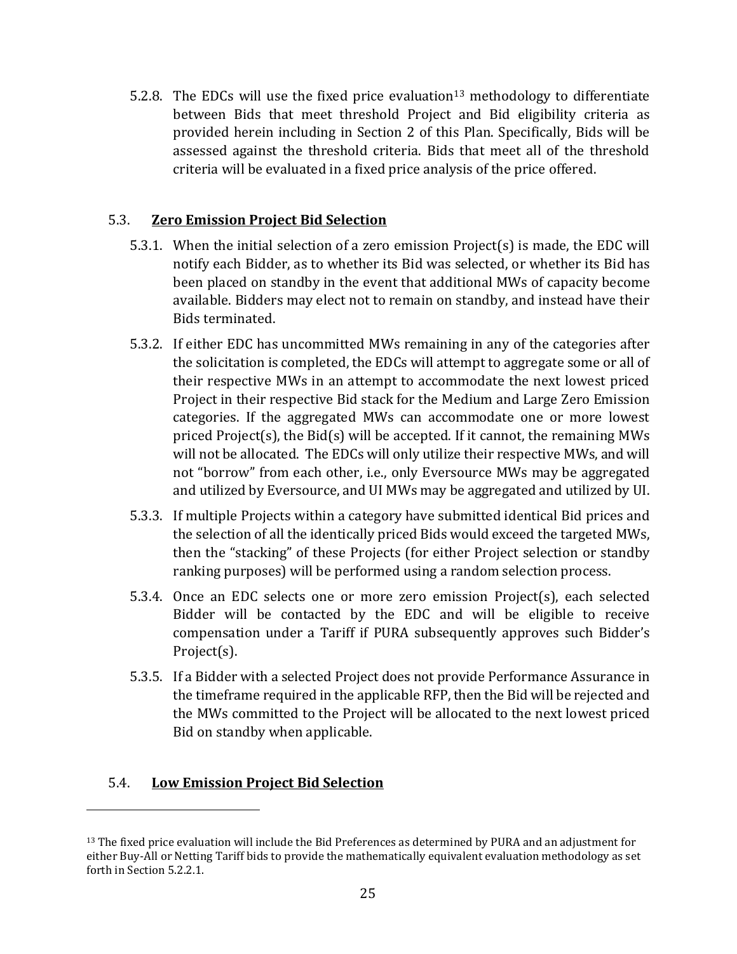5.2.8. The EDCs will use the fixed price evaluation<sup>13</sup> methodology to differentiate between Bids that meet threshold Project and Bid eligibility criteria as provided herein including in Section 2 of this Plan. Specifically, Bids will be assessed against the threshold criteria. Bids that meet all of the threshold criteria will be evaluated in a fixed price analysis of the price offered.

### 5.3. **Zero Emission Project Bid Selection**

- 5.3.1. When the initial selection of a zero emission Project(s) is made, the EDC will notify each Bidder, as to whether its Bid was selected, or whether its Bid has been placed on standby in the event that additional MWs of capacity become available. Bidders may elect not to remain on standby, and instead have their Bids terminated.
- 5.3.2. If either EDC has uncommitted MWs remaining in any of the categories after the solicitation is completed, the EDCs will attempt to aggregate some or all of their respective MWs in an attempt to accommodate the next lowest priced Project in their respective Bid stack for the Medium and Large Zero Emission categories. If the aggregated MWs can accommodate one or more lowest priced Project(s), the Bid(s) will be accepted. If it cannot, the remaining MWs will not be allocated. The EDCs will only utilize their respective MWs, and will not "borrow" from each other, i.e., only Eversource MWs may be aggregated and utilized by Eversource, and UI MWs may be aggregated and utilized by UI.
- 5.3.3. If multiple Projects within a category have submitted identical Bid prices and the selection of all the identically priced Bids would exceed the targeted MWs, then the "stacking" of these Projects (for either Project selection or standby ranking purposes) will be performed using a random selection process.
- 5.3.4. Once an EDC selects one or more zero emission Project(s), each selected Bidder will be contacted by the EDC and will be eligible to receive compensation under a Tariff if PURA subsequently approves such Bidder's Project(s).
- 5.3.5. If a Bidder with a selected Project does not provide Performance Assurance in the timeframe required in the applicable RFP, then the Bid will be rejected and the MWs committed to the Project will be allocated to the next lowest priced Bid on standby when applicable.

### 5.4. **Low Emission Project Bid Selection**

<sup>&</sup>lt;sup>13</sup> The fixed price evaluation will include the Bid Preferences as determined by PURA and an adjustment for either Buy-All or Netting Tariff bids to provide the mathematically equivalent evaluation methodology as set forth in Section 5.2.2.1.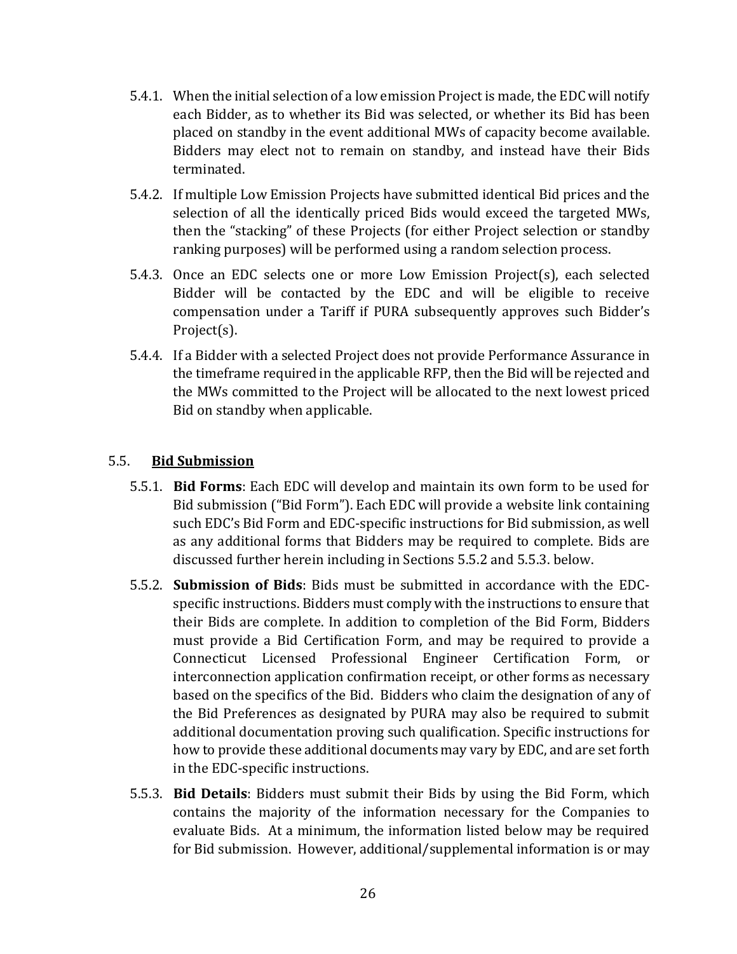- 5.4.1. When the initial selection of a low emission Project is made, the EDC will notify each Bidder, as to whether its Bid was selected, or whether its Bid has been placed on standby in the event additional MWs of capacity become available. Bidders may elect not to remain on standby, and instead have their Bids terminated.
- 5.4.2. If multiple Low Emission Projects have submitted identical Bid prices and the selection of all the identically priced Bids would exceed the targeted MWs, then the "stacking" of these Projects (for either Project selection or standby ranking purposes) will be performed using a random selection process.
- 5.4.3. Once an EDC selects one or more Low Emission Project(s), each selected Bidder will be contacted by the EDC and will be eligible to receive compensation under a Tariff if PURA subsequently approves such Bidder's Project(s).
- 5.4.4. If a Bidder with a selected Project does not provide Performance Assurance in the timeframe required in the applicable RFP, then the Bid will be rejected and the MWs committed to the Project will be allocated to the next lowest priced Bid on standby when applicable.

### 5.5. **Bid Submission**

- 5.5.1. **Bid Forms**: Each EDC will develop and maintain its own form to be used for Bid submission ("Bid Form"). Each EDC will provide a website link containing such EDC's Bid Form and EDC-specific instructions for Bid submission, as well as any additional forms that Bidders may be required to complete. Bids are discussed further herein including in Sections 5.5.2 and 5.5.3. below.
- 5.5.2. **Submission of Bids**: Bids must be submitted in accordance with the EDCspecific instructions. Bidders must comply with the instructions to ensure that their Bids are complete. In addition to completion of the Bid Form, Bidders must provide a Bid Certification Form, and may be required to provide a Connecticut Licensed Professional Engineer Certification Form, or interconnection application confirmation receipt, or other forms as necessary based on the specifics of the Bid. Bidders who claim the designation of any of the Bid Preferences as designated by PURA may also be required to submit additional documentation proving such qualification. Specific instructions for how to provide these additional documents may vary by EDC, and are set forth in the EDC-specific instructions.
- 5.5.3. **Bid Details**: Bidders must submit their Bids by using the Bid Form, which contains the majority of the information necessary for the Companies to evaluate Bids. At a minimum, the information listed below may be required for Bid submission. However, additional/supplemental information is or may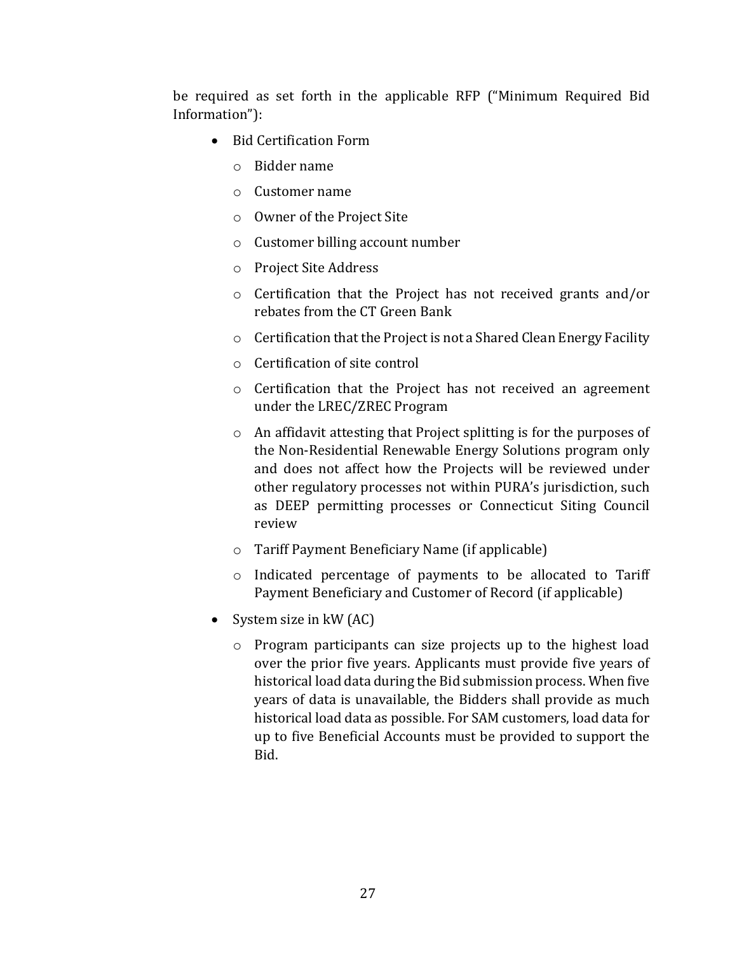be required as set forth in the applicable RFP ("Minimum Required Bid Information"):

- Bid Certification Form
	- o Bidder name
	- o Customer name
	- o Owner of the Project Site
	- o Customer billing account number
	- o Project Site Address
	- o Certification that the Project has not received grants and/or rebates from the CT Green Bank
	- o Certification that the Project is not a Shared Clean Energy Facility
	- o Certification of site control
	- o Certification that the Project has not received an agreement under the LREC/ZREC Program
	- o An affidavit attesting that Project splitting is for the purposes of the Non-Residential Renewable Energy Solutions program only and does not affect how the Projects will be reviewed under other regulatory processes not within PURA's jurisdiction, such as DEEP permitting processes or Connecticut Siting Council review
	- o Tariff Payment Beneficiary Name (if applicable)
	- o Indicated percentage of payments to be allocated to Tariff Payment Beneficiary and Customer of Record (if applicable)
- System size in kW (AC)
	- o Program participants can size projects up to the highest load over the prior five years. Applicants must provide five years of historical load data during the Bid submission process. When five years of data is unavailable, the Bidders shall provide as much historical load data as possible. For SAM customers, load data for up to five Beneficial Accounts must be provided to support the Bid.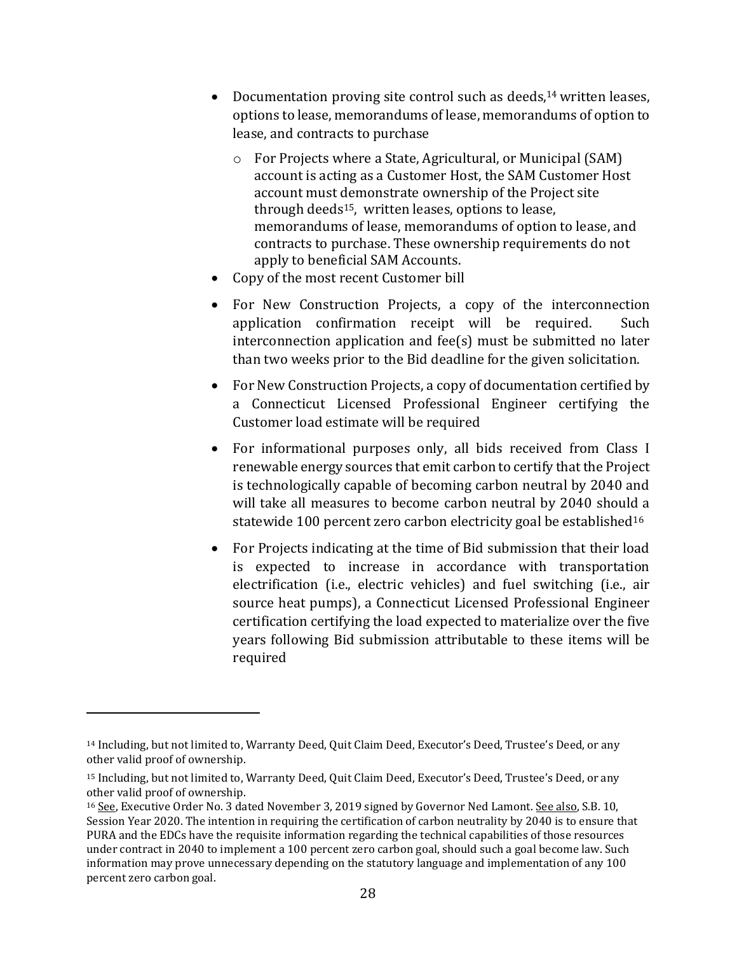- Documentation proving site control such as deeds,<sup>14</sup> written leases, options to lease, memorandums of lease, memorandums of option to lease, and contracts to purchase
	- o For Projects where a State, Agricultural, or Municipal (SAM) account is acting as a Customer Host, the SAM Customer Host account must demonstrate ownership of the Project site through deeds15, written leases, options to lease, memorandums of lease, memorandums of option to lease, and contracts to purchase. These ownership requirements do not apply to beneficial SAM Accounts.
- Copy of the most recent Customer bill
- For New Construction Projects, a copy of the interconnection application confirmation receipt will be required. Such interconnection application and fee(s) must be submitted no later than two weeks prior to the Bid deadline for the given solicitation.
- For New Construction Projects, a copy of documentation certified by a Connecticut Licensed Professional Engineer certifying the Customer load estimate will be required
- For informational purposes only, all bids received from Class I renewable energy sources that emit carbon to certify that the Project is technologically capable of becoming carbon neutral by 2040 and will take all measures to become carbon neutral by 2040 should a statewide 100 percent zero carbon electricity goal be established<sup>16</sup>
- For Projects indicating at the time of Bid submission that their load is expected to increase in accordance with transportation electrification (i.e., electric vehicles) and fuel switching (i.e., air source heat pumps), a Connecticut Licensed Professional Engineer certification certifying the load expected to materialize over the five years following Bid submission attributable to these items will be required

<sup>&</sup>lt;sup>14</sup> Including, but not limited to, Warranty Deed, Quit Claim Deed, Executor's Deed, Trustee's Deed, or any other valid proof of ownership.

<sup>15</sup> Including, but not limited to, Warranty Deed, Quit Claim Deed, Executor's Deed, Trustee's Deed, or any other valid proof of ownership.

<sup>&</sup>lt;sup>16</sup> See, Executive Order No. 3 dated November 3, 2019 signed by Governor Ned Lamont. See also, S.B. 10, Session Year 2020. The intention in requiring the certification of carbon neutrality by 2040 is to ensure that PURA and the EDCs have the requisite information regarding the technical capabilities of those resources under contract in 2040 to implement a 100 percent zero carbon goal, should such a goal become law. Such information may prove unnecessary depending on the statutory language and implementation of any 100 percent zero carbon goal.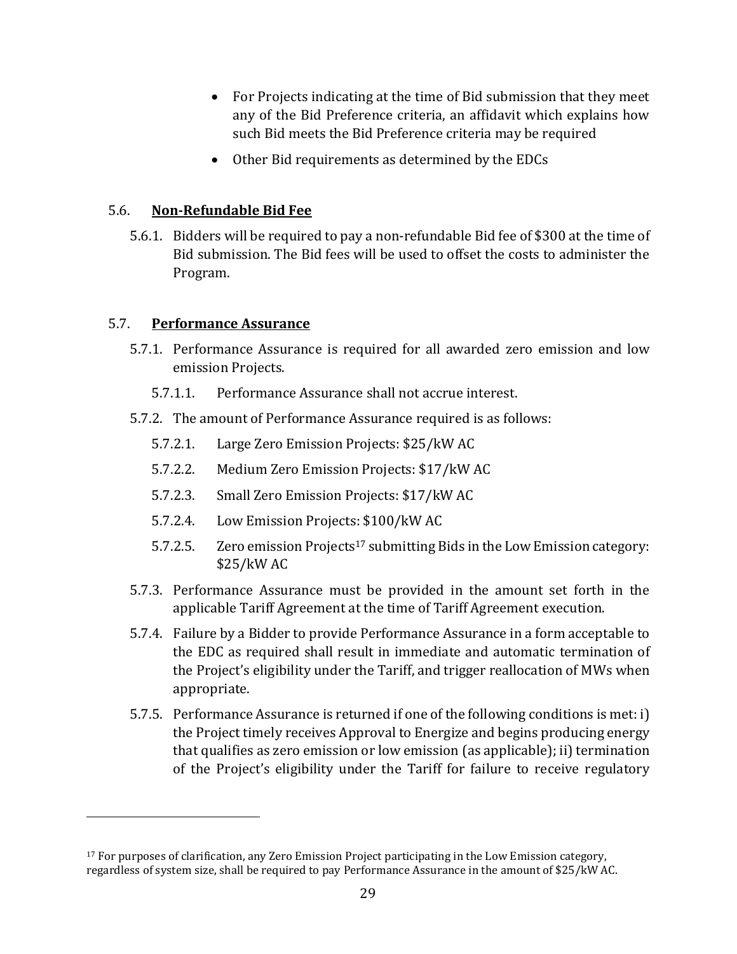- For Projects indicating at the time of Bid submission that they meet any of the Bid Preference criteria, an affidavit which explains how such Bid meets the Bid Preference criteria may be required
- Other Bid requirements as determined by the EDCs

#### 5.6. **Non-Refundable Bid Fee**

5.6.1. Bidders will be required to pay a non-refundable Bid fee of \$300 at the time of Bid submission. The Bid fees will be used to offset the costs to administer the Program.

#### 5.7. **Performance Assurance**

- 5.7.1. Performance Assurance is required for all awarded zero emission and low emission Projects.
	- 5.7.1.1. Performance Assurance shall not accrue interest.
- 5.7.2. The amount of Performance Assurance required is as follows:
	- 5.7.2.1. Large Zero Emission Projects: \$25/kW AC
	- 5.7.2.2. Medium Zero Emission Projects: \$17/kW AC
	- 5.7.2.3. Small Zero Emission Projects: \$17/kW AC
	- 5.7.2.4. Low Emission Projects: \$100/kW AC
	- 5.7.2.5. Zero emission Projects<sup>17</sup> submitting Bids in the Low Emission category: \$25/kW AC
- 5.7.3. Performance Assurance must be provided in the amount set forth in the applicable Tariff Agreement at the time of Tariff Agreement execution.
- 5.7.4. Failure by a Bidder to provide Performance Assurance in a form acceptable to the EDC as required shall result in immediate and automatic termination of the Project's eligibility under the Tariff, and trigger reallocation of MWs when appropriate.
- 5.7.5. Performance Assurance is returned if one of the following conditions is met: i) the Project timely receives Approval to Energize and begins producing energy that qualifies as zero emission or low emission (as applicable); ii) termination of the Project's eligibility under the Tariff for failure to receive regulatory

<sup>17</sup> For purposes of clarification, any Zero Emission Project participating in the Low Emission category, regardless of system size, shall be required to pay Performance Assurance in the amount of \$25/kW AC.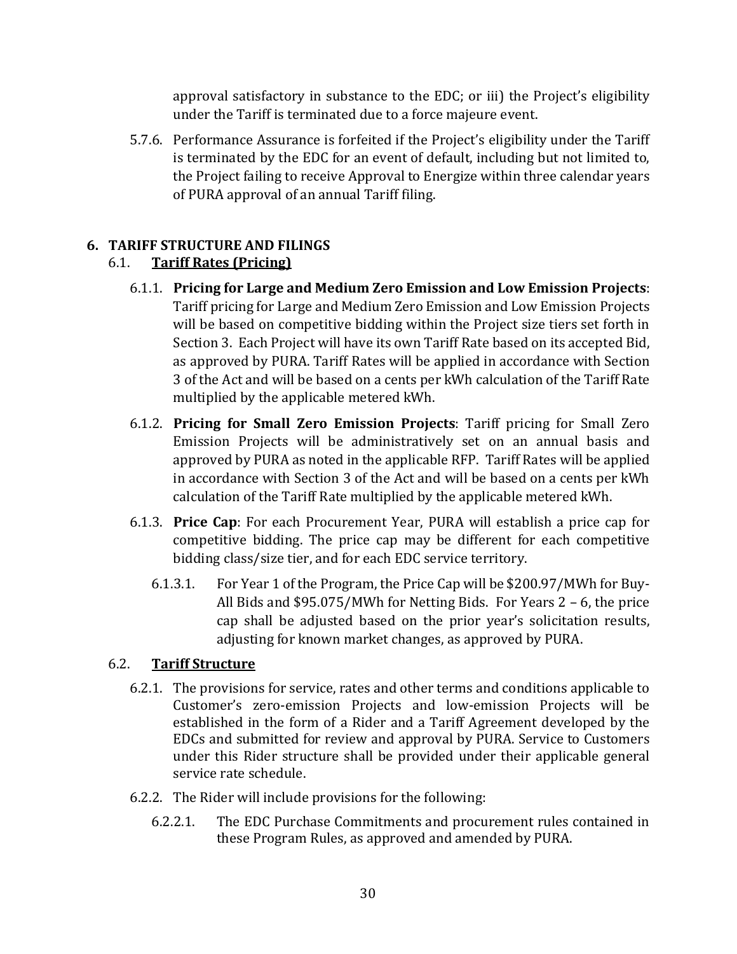approval satisfactory in substance to the EDC; or iii) the Project's eligibility under the Tariff is terminated due to a force majeure event.

5.7.6. Performance Assurance is forfeited if the Project's eligibility under the Tariff is terminated by the EDC for an event of default, including but not limited to, the Project failing to receive Approval to Energize within three calendar years of PURA approval of an annual Tariff filing.

## <span id="page-29-0"></span>**6. TARIFF STRUCTURE AND FILINGS**

## 6.1. **Tariff Rates (Pricing)**

- 6.1.1. **Pricing for Large and Medium Zero Emission and Low Emission Projects**: Tariff pricing for Large and Medium Zero Emission and Low Emission Projects will be based on competitive bidding within the Project size tiers set forth in Section 3. Each Project will have its own Tariff Rate based on its accepted Bid, as approved by PURA. Tariff Rates will be applied in accordance with Section 3 of the Act and will be based on a cents per kWh calculation of the Tariff Rate multiplied by the applicable metered kWh.
- 6.1.2. **Pricing for Small Zero Emission Projects**: Tariff pricing for Small Zero Emission Projects will be administratively set on an annual basis and approved by PURA as noted in the applicable RFP. Tariff Rates will be applied in accordance with Section 3 of the Act and will be based on a cents per kWh calculation of the Tariff Rate multiplied by the applicable metered kWh.
- 6.1.3. **Price Cap**: For each Procurement Year, PURA will establish a price cap for competitive bidding. The price cap may be different for each competitive bidding class/size tier, and for each EDC service territory.
	- 6.1.3.1. For Year 1 of the Program, the Price Cap will be \$200.97/MWh for Buy-All Bids and \$95.075/MWh for Netting Bids. For Years 2 – 6, the price cap shall be adjusted based on the prior year's solicitation results, adjusting for known market changes, as approved by PURA.

### 6.2. **Tariff Structure**

- 6.2.1. The provisions for service, rates and other terms and conditions applicable to Customer's zero-emission Projects and low-emission Projects will be established in the form of a Rider and a Tariff Agreement developed by the EDCs and submitted for review and approval by PURA. Service to Customers under this Rider structure shall be provided under their applicable general service rate schedule.
- 6.2.2. The Rider will include provisions for the following:
	- 6.2.2.1. The EDC Purchase Commitments and procurement rules contained in these Program Rules, as approved and amended by PURA.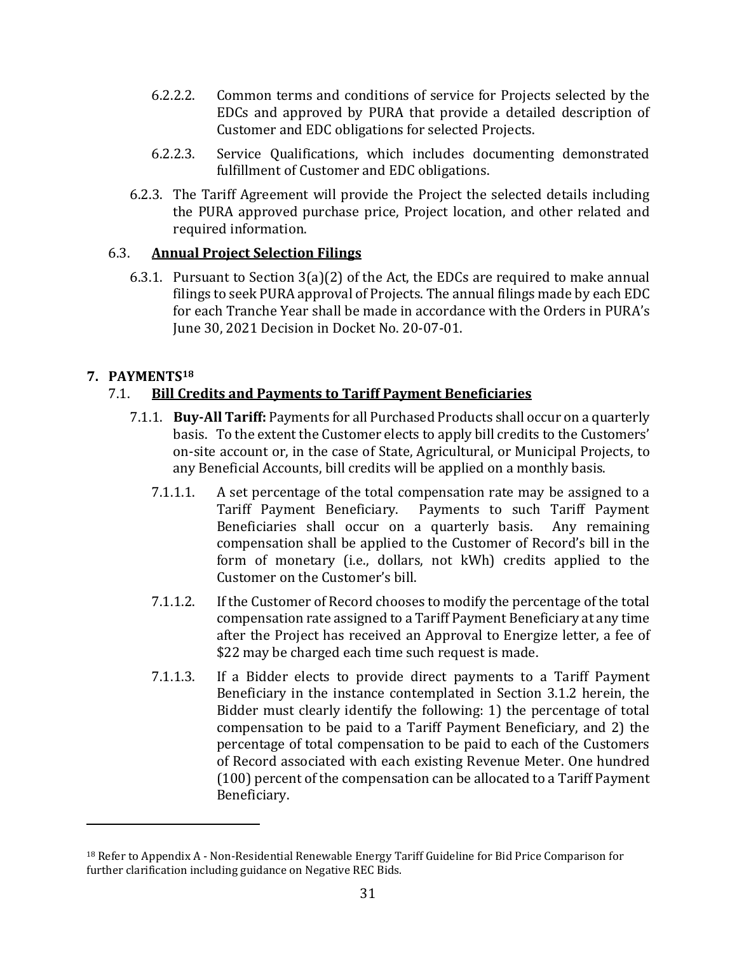- 6.2.2.2. Common terms and conditions of service for Projects selected by the EDCs and approved by PURA that provide a detailed description of Customer and EDC obligations for selected Projects.
- 6.2.2.3. Service Qualifications, which includes documenting demonstrated fulfillment of Customer and EDC obligations.
- 6.2.3. The Tariff Agreement will provide the Project the selected details including the PURA approved purchase price, Project location, and other related and required information.

### 6.3. **Annual Project Selection Filings**

6.3.1. Pursuant to Section 3(a)(2) of the Act, the EDCs are required to make annual filings to seek PURA approval of Projects. The annual filings made by each EDC for each Tranche Year shall be made in accordance with the Orders in PURA's June 30, 2021 Decision in Docket No. 20-07-01.

## <span id="page-30-0"></span>**7. PAYMENTS<sup>18</sup>**

## 7.1. **Bill Credits and Payments to Tariff Payment Beneficiaries**

- 7.1.1. **Buy-All Tariff:** Payments for all Purchased Products shall occur on a quarterly basis. To the extent the Customer elects to apply bill credits to the Customers' on-site account or, in the case of State, Agricultural, or Municipal Projects, to any Beneficial Accounts, bill credits will be applied on a monthly basis.
	- 7.1.1.1. A set percentage of the total compensation rate may be assigned to a Tariff Payment Beneficiary. Payments to such Tariff Payment Beneficiaries shall occur on a quarterly basis. Any remaining compensation shall be applied to the Customer of Record's bill in the form of monetary (i.e., dollars, not kWh) credits applied to the Customer on the Customer's bill.
	- 7.1.1.2. If the Customer of Record chooses to modify the percentage of the total compensation rate assigned to a Tariff Payment Beneficiary at any time after the Project has received an Approval to Energize letter, a fee of \$22 may be charged each time such request is made.
	- 7.1.1.3. If a Bidder elects to provide direct payments to a Tariff Payment Beneficiary in the instance contemplated in Section 3.1.2 herein, the Bidder must clearly identify the following: 1) the percentage of total compensation to be paid to a Tariff Payment Beneficiary, and 2) the percentage of total compensation to be paid to each of the Customers of Record associated with each existing Revenue Meter. One hundred (100) percent of the compensation can be allocated to a Tariff Payment Beneficiary.

<sup>18</sup> Refer to Appendix A - Non-Residential Renewable Energy Tariff Guideline for Bid Price Comparison for further clarification including guidance on Negative REC Bids.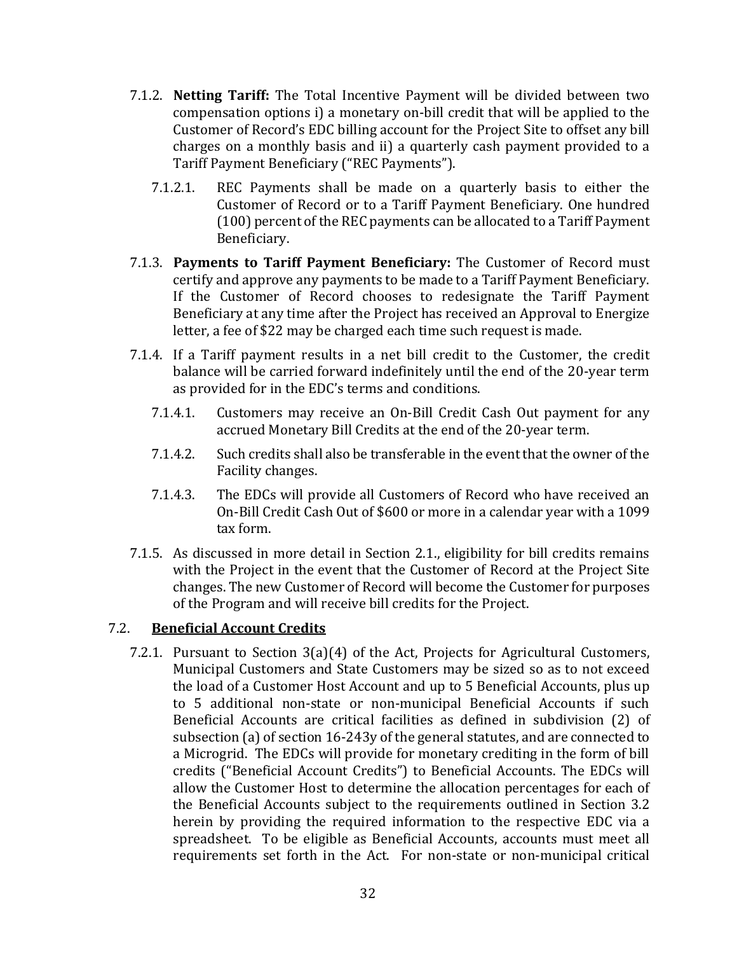- 7.1.2. **Netting Tariff:** The Total Incentive Payment will be divided between two compensation options i) a monetary on-bill credit that will be applied to the Customer of Record's EDC billing account for the Project Site to offset any bill charges on a monthly basis and ii) a quarterly cash payment provided to a Tariff Payment Beneficiary ("REC Payments").
	- 7.1.2.1. REC Payments shall be made on a quarterly basis to either the Customer of Record or to a Tariff Payment Beneficiary. One hundred (100) percent of the REC payments can be allocated to a Tariff Payment Beneficiary.
- 7.1.3. **Payments to Tariff Payment Beneficiary:** The Customer of Record must certify and approve any payments to be made to a Tariff Payment Beneficiary. If the Customer of Record chooses to redesignate the Tariff Payment Beneficiary at any time after the Project has received an Approval to Energize letter, a fee of \$22 may be charged each time such request is made.
- 7.1.4. If a Tariff payment results in a net bill credit to the Customer, the credit balance will be carried forward indefinitely until the end of the 20-year term as provided for in the EDC's terms and conditions.
	- 7.1.4.1. Customers may receive an On-Bill Credit Cash Out payment for any accrued Monetary Bill Credits at the end of the 20-year term.
	- 7.1.4.2. Such credits shall also be transferable in the event that the owner of the Facility changes.
	- 7.1.4.3. The EDCs will provide all Customers of Record who have received an On-Bill Credit Cash Out of \$600 or more in a calendar year with a 1099 tax form.
- 7.1.5. As discussed in more detail in Section 2.1., eligibility for bill credits remains with the Project in the event that the Customer of Record at the Project Site changes. The new Customer of Record will become the Customer for purposes of the Program and will receive bill credits for the Project.

#### 7.2. **Beneficial Account Credits**

7.2.1. Pursuant to Section 3(a)(4) of the Act, Projects for Agricultural Customers, Municipal Customers and State Customers may be sized so as to not exceed the load of a Customer Host Account and up to 5 Beneficial Accounts, plus up to 5 additional non-state or non-municipal Beneficial Accounts if such Beneficial Accounts are critical facilities as defined in subdivision (2) of subsection (a) of section 16-243y of the general statutes, and are connected to a Microgrid. The EDCs will provide for monetary crediting in the form of bill credits ("Beneficial Account Credits") to Beneficial Accounts. The EDCs will allow the Customer Host to determine the allocation percentages for each of the Beneficial Accounts subject to the requirements outlined in Section 3.2 herein by providing the required information to the respective EDC via a spreadsheet. To be eligible as Beneficial Accounts, accounts must meet all requirements set forth in the Act. For non-state or non-municipal critical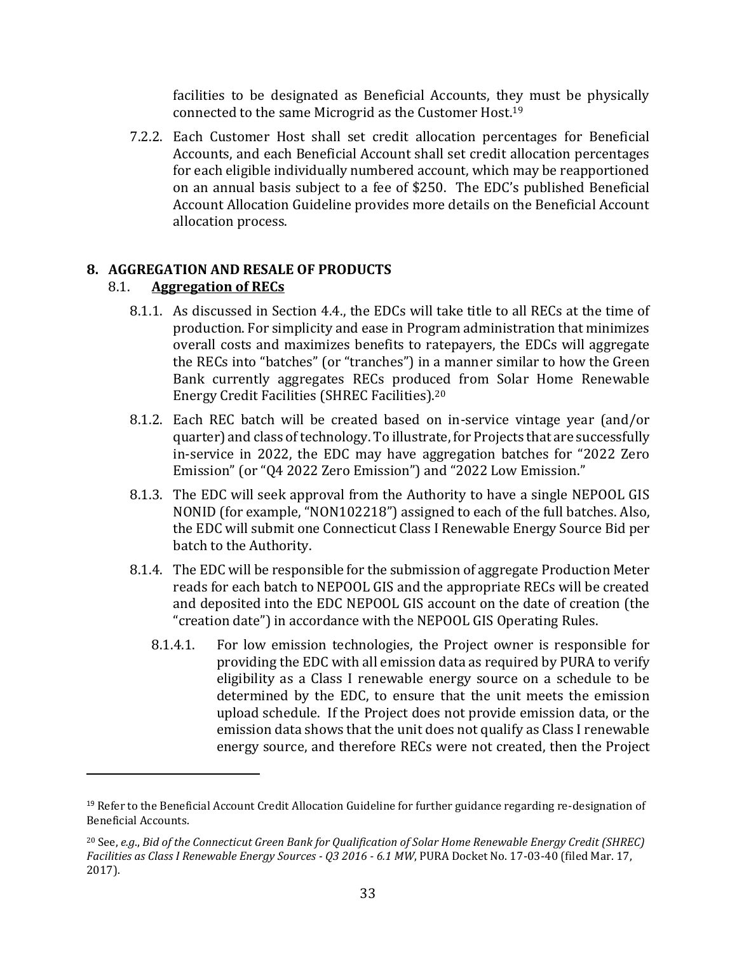facilities to be designated as Beneficial Accounts, they must be physically connected to the same Microgrid as the Customer Host.<sup>19</sup>

7.2.2. Each Customer Host shall set credit allocation percentages for Beneficial Accounts, and each Beneficial Account shall set credit allocation percentages for each eligible individually numbered account, which may be reapportioned on an annual basis subject to a fee of \$250. The EDC's published Beneficial Account Allocation Guideline provides more details on the Beneficial Account allocation process.

### <span id="page-32-0"></span>**8. AGGREGATION AND RESALE OF PRODUCTS**

### 8.1. **Aggregation of RECs**

- 8.1.1. As discussed in Section 4.4., the EDCs will take title to all RECs at the time of production. For simplicity and ease in Program administration that minimizes overall costs and maximizes benefits to ratepayers, the EDCs will aggregate the RECs into "batches" (or "tranches") in a manner similar to how the Green Bank currently aggregates RECs produced from Solar Home Renewable Energy Credit Facilities (SHREC Facilities).<sup>20</sup>
- 8.1.2. Each REC batch will be created based on in-service vintage year (and/or quarter) and class of technology. To illustrate, for Projects that are successfully in-service in 2022, the EDC may have aggregation batches for "2022 Zero Emission" (or "Q4 2022 Zero Emission") and "2022 Low Emission."
- 8.1.3. The EDC will seek approval from the Authority to have a single NEPOOL GIS NONID (for example, "NON102218") assigned to each of the full batches. Also, the EDC will submit one Connecticut Class I Renewable Energy Source Bid per batch to the Authority.
- 8.1.4. The EDC will be responsible for the submission of aggregate Production Meter reads for each batch to NEPOOL GIS and the appropriate RECs will be created and deposited into the EDC NEPOOL GIS account on the date of creation (the "creation date") in accordance with the NEPOOL GIS Operating Rules.
	- 8.1.4.1. For low emission technologies, the Project owner is responsible for providing the EDC with all emission data as required by PURA to verify eligibility as a Class I renewable energy source on a schedule to be determined by the EDC, to ensure that the unit meets the emission upload schedule. If the Project does not provide emission data, or the emission data shows that the unit does not qualify as Class I renewable energy source, and therefore RECs were not created, then the Project

<sup>&</sup>lt;sup>19</sup> Refer to the Beneficial Account Credit Allocation Guideline for further guidance regarding re-designation of Beneficial Accounts.

<sup>20</sup> See, *e.g*., *Bid of the Connecticut Green Bank for Qualification of Solar Home Renewable Energy Credit (SHREC) Facilities as Class I Renewable Energy Sources - Q3 2016 - 6.1 MW*, PURA Docket No. 17-03-40 (filed Mar. 17, 2017).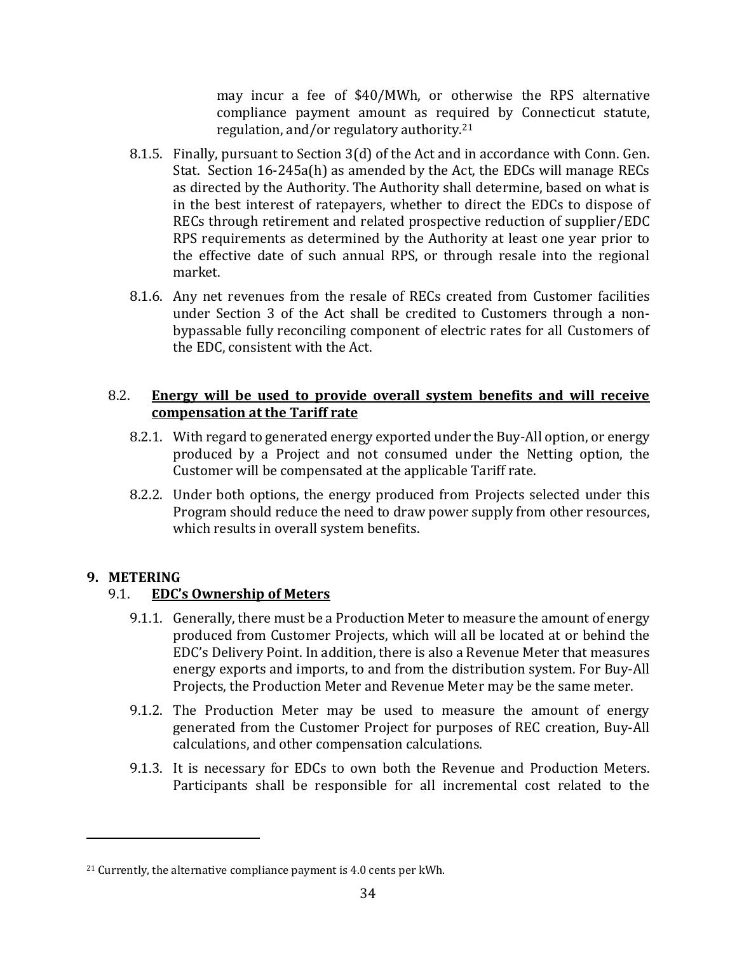may incur a fee of \$40/MWh, or otherwise the RPS alternative compliance payment amount as required by Connecticut statute, regulation, and/or regulatory authority. 21

- 8.1.5. Finally, pursuant to Section 3(d) of the Act and in accordance with Conn. Gen. Stat. Section 16-245a(h) as amended by the Act, the EDCs will manage RECs as directed by the Authority. The Authority shall determine, based on what is in the best interest of ratepayers, whether to direct the EDCs to dispose of RECs through retirement and related prospective reduction of supplier/EDC RPS requirements as determined by the Authority at least one year prior to the effective date of such annual RPS, or through resale into the regional market.
- 8.1.6. Any net revenues from the resale of RECs created from Customer facilities under Section 3 of the Act shall be credited to Customers through a nonbypassable fully reconciling component of electric rates for all Customers of the EDC, consistent with the Act.

### 8.2. **Energy will be used to provide overall system benefits and will receive compensation at the Tariff rate**

- 8.2.1. With regard to generated energy exported under the Buy-All option, or energy produced by a Project and not consumed under the Netting option, the Customer will be compensated at the applicable Tariff rate.
- 8.2.2. Under both options, the energy produced from Projects selected under this Program should reduce the need to draw power supply from other resources, which results in overall system benefits.

### <span id="page-33-0"></span>**9. METERING**

### 9.1. **EDC's Ownership of Meters**

- 9.1.1. Generally, there must be a Production Meter to measure the amount of energy produced from Customer Projects, which will all be located at or behind the EDC's Delivery Point. In addition, there is also a Revenue Meter that measures energy exports and imports, to and from the distribution system. For Buy-All Projects, the Production Meter and Revenue Meter may be the same meter.
- 9.1.2. The Production Meter may be used to measure the amount of energy generated from the Customer Project for purposes of REC creation, Buy-All calculations, and other compensation calculations.
- 9.1.3. It is necessary for EDCs to own both the Revenue and Production Meters. Participants shall be responsible for all incremental cost related to the

 $21$  Currently, the alternative compliance payment is 4.0 cents per kWh.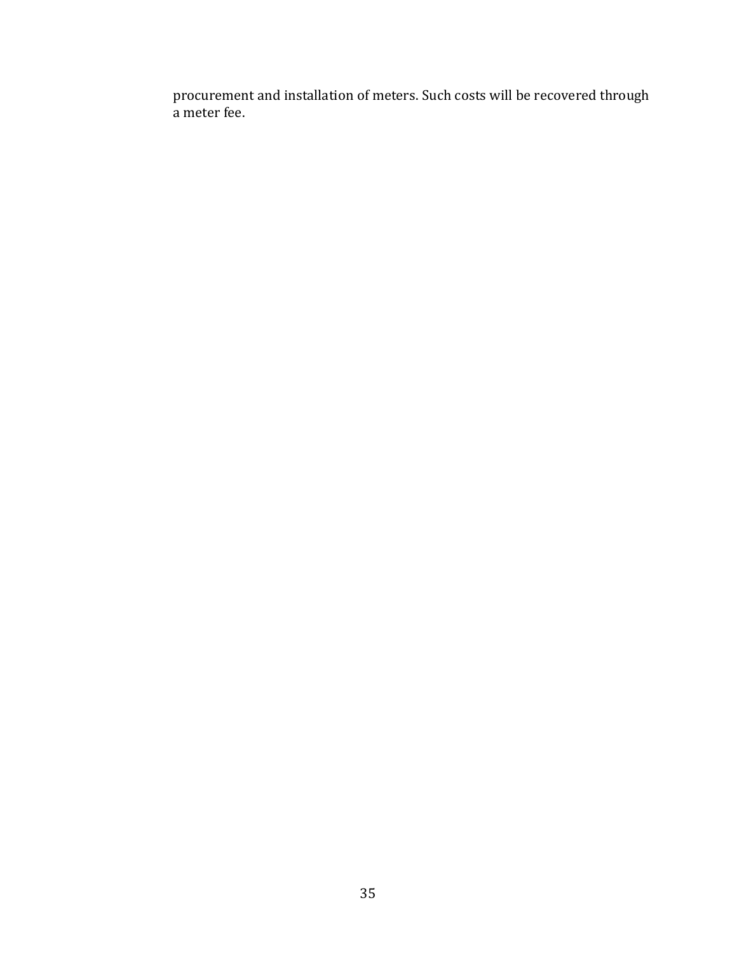procurement and installation of meters. Such costs will be recovered through a meter fee.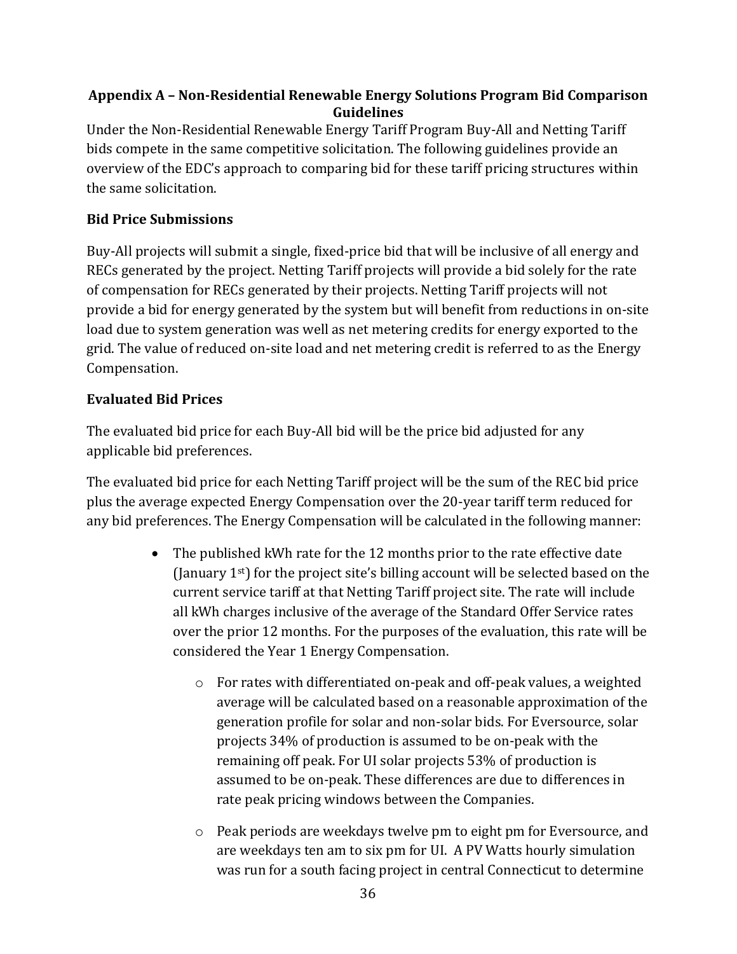## <span id="page-35-0"></span>**Appendix A – Non-Residential Renewable Energy Solutions Program Bid Comparison Guidelines**

Under the Non-Residential Renewable Energy Tariff Program Buy-All and Netting Tariff bids compete in the same competitive solicitation. The following guidelines provide an overview of the EDC's approach to comparing bid for these tariff pricing structures within the same solicitation.

## **Bid Price Submissions**

Buy-All projects will submit a single, fixed-price bid that will be inclusive of all energy and RECs generated by the project. Netting Tariff projects will provide a bid solely for the rate of compensation for RECs generated by their projects. Netting Tariff projects will not provide a bid for energy generated by the system but will benefit from reductions in on-site load due to system generation was well as net metering credits for energy exported to the grid. The value of reduced on-site load and net metering credit is referred to as the Energy Compensation.

## **Evaluated Bid Prices**

The evaluated bid price for each Buy-All bid will be the price bid adjusted for any applicable bid preferences.

The evaluated bid price for each Netting Tariff project will be the sum of the REC bid price plus the average expected Energy Compensation over the 20-year tariff term reduced for any bid preferences. The Energy Compensation will be calculated in the following manner:

- The published kWh rate for the 12 months prior to the rate effective date (January  $1<sup>st</sup>$ ) for the project site's billing account will be selected based on the current service tariff at that Netting Tariff project site. The rate will include all kWh charges inclusive of the average of the Standard Offer Service rates over the prior 12 months. For the purposes of the evaluation, this rate will be considered the Year 1 Energy Compensation.
	- o For rates with differentiated on-peak and off-peak values, a weighted average will be calculated based on a reasonable approximation of the generation profile for solar and non-solar bids. For Eversource, solar projects 34% of production is assumed to be on-peak with the remaining off peak. For UI solar projects 53% of production is assumed to be on-peak. These differences are due to differences in rate peak pricing windows between the Companies.
	- o Peak periods are weekdays twelve pm to eight pm for Eversource, and are weekdays ten am to six pm for UI. A PV Watts hourly simulation was run for a south facing project in central Connecticut to determine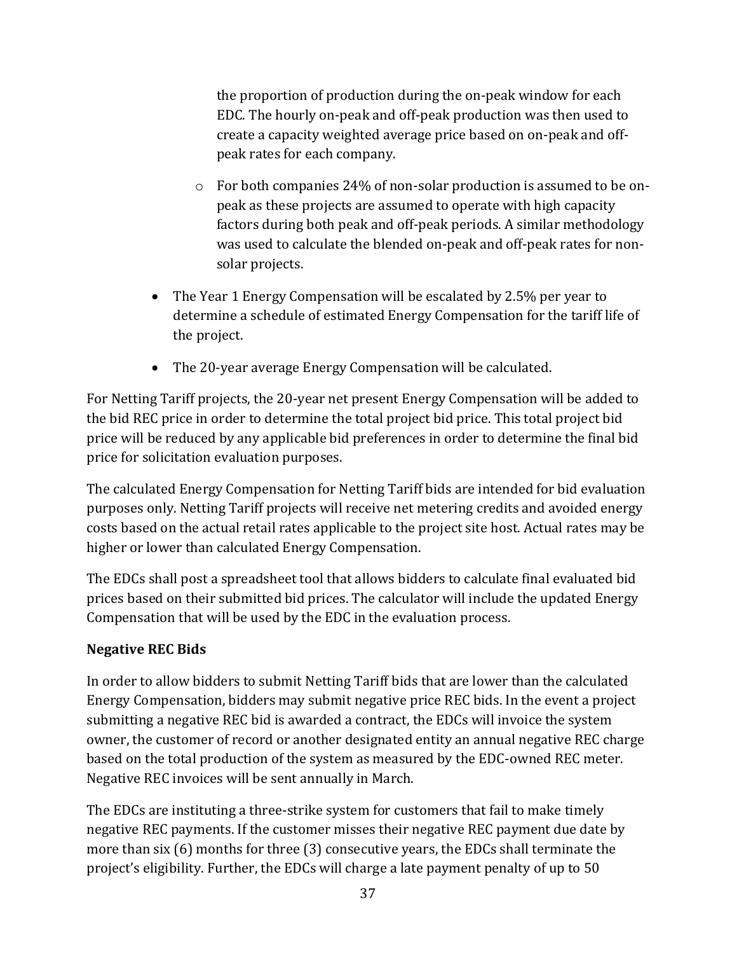the proportion of production during the on-peak window for each EDC. The hourly on-peak and off-peak production was then used to create a capacity weighted average price based on on-peak and offpeak rates for each company.

- o For both companies 24% of non-solar production is assumed to be onpeak as these projects are assumed to operate with high capacity factors during both peak and off-peak periods. A similar methodology was used to calculate the blended on-peak and off-peak rates for nonsolar projects.
- The Year 1 Energy Compensation will be escalated by 2.5% per year to determine a schedule of estimated Energy Compensation for the tariff life of the project.
- The 20-year average Energy Compensation will be calculated.

For Netting Tariff projects, the 20-year net present Energy Compensation will be added to the bid REC price in order to determine the total project bid price. This total project bid price will be reduced by any applicable bid preferences in order to determine the final bid price for solicitation evaluation purposes.

The calculated Energy Compensation for Netting Tariff bids are intended for bid evaluation purposes only. Netting Tariff projects will receive net metering credits and avoided energy costs based on the actual retail rates applicable to the project site host. Actual rates may be higher or lower than calculated Energy Compensation.

The EDCs shall post a spreadsheet tool that allows bidders to calculate final evaluated bid prices based on their submitted bid prices. The calculator will include the updated Energy Compensation that will be used by the EDC in the evaluation process.

# **Negative REC Bids**

In order to allow bidders to submit Netting Tariff bids that are lower than the calculated Energy Compensation, bidders may submit negative price REC bids. In the event a project submitting a negative REC bid is awarded a contract, the EDCs will invoice the system owner, the customer of record or another designated entity an annual negative REC charge based on the total production of the system as measured by the EDC-owned REC meter. Negative REC invoices will be sent annually in March.

The EDCs are instituting a three-strike system for customers that fail to make timely negative REC payments. If the customer misses their negative REC payment due date by more than six (6) months for three (3) consecutive years, the EDCs shall terminate the project's eligibility. Further, the EDCs will charge a late payment penalty of up to 50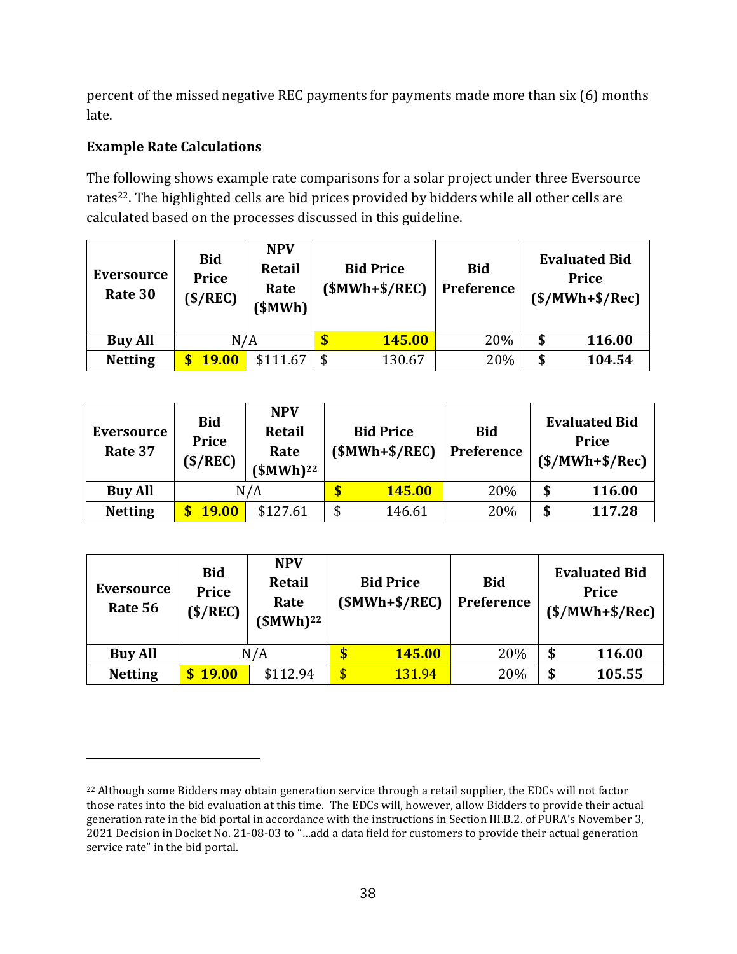percent of the missed negative REC payments for payments made more than six (6) months late.

## **Example Rate Calculations**

The following shows example rate comparisons for a solar project under three Eversource rates<sup>22</sup>. The highlighted cells are bid prices provided by bidders while all other cells are calculated based on the processes discussed in this guideline.

| Eversource<br>Rate 30 | <b>Bid</b><br><b>Price</b><br>$(\frac{$}{REC})$ | <b>NPV</b><br><b>Retail</b><br>Rate<br>\$MWh] |     | <b>Bid Price</b><br>$(SMWh+S/REC)$ | <b>Bid</b><br><b>Preference</b> | <b>Evaluated Bid</b><br>Price<br>$(S/MWh+S/Rec)$ |
|-----------------------|-------------------------------------------------|-----------------------------------------------|-----|------------------------------------|---------------------------------|--------------------------------------------------|
| N/A<br><b>Buy All</b> |                                                 |                                               |     | 145.00                             | 20%                             | \$<br>116.00                                     |
| <b>Netting</b>        | <b>19.00</b>                                    | \$111.67                                      | \$. | 130.67                             | 20%                             | \$<br>104.54                                     |

| <b>Eversource</b><br>Rate 37 | <b>Bid</b><br><b>Price</b><br>(S/REC) | <b>NPV</b><br>Retail<br>Rate<br>$(SMWh)^{22}$ | <b>Bid Price</b><br>$(SMWh+S/REC)$ |        | <b>Bid</b><br><b>Preference</b> | <b>Evaluated Bid</b><br><b>Price</b><br>$(S/MWh+S/Rec)$ |        |
|------------------------------|---------------------------------------|-----------------------------------------------|------------------------------------|--------|---------------------------------|---------------------------------------------------------|--------|
| <b>Buy All</b>               | N/A                                   |                                               |                                    | 145.00 | 20%                             | \$                                                      | 116.00 |
| <b>Netting</b>               | <b>19.00</b>                          | \$127.61                                      | \$                                 | 146.61 | 20%                             | \$                                                      | 117.28 |

| Eversource<br>Rate 56 | <b>Bid</b><br><b>Price</b><br>(S/REC) | <b>NPV</b><br><b>Retail</b><br>Rate<br>$$MWh)^{22}$ | <b>Bid Price</b><br>$(SMWh+S/REC)$ | <b>Bid</b><br><b>Preference</b> | <b>Evaluated Bid</b><br><b>Price</b><br>$(S/MWh+S/Rec)$ |
|-----------------------|---------------------------------------|-----------------------------------------------------|------------------------------------|---------------------------------|---------------------------------------------------------|
| <b>Buy All</b>        |                                       | N/A                                                 | \$<br><b>145.00</b>                | 20%                             | \$<br>116.00                                            |
| <b>Netting</b>        | <b>19.00</b><br>S.                    | \$112.94                                            | \$<br>131.94                       | 20%                             | \$<br>105.55                                            |

<sup>&</sup>lt;sup>22</sup> Although some Bidders may obtain generation service through a retail supplier, the EDCs will not factor those rates into the bid evaluation at this time. The EDCs will, however, allow Bidders to provide their actual generation rate in the bid portal in accordance with the instructions in Section III.B.2. of PURA's November 3, 2021 Decision in Docket No. 21-08-03 to "…add a data field for customers to provide their actual generation service rate" in the bid portal.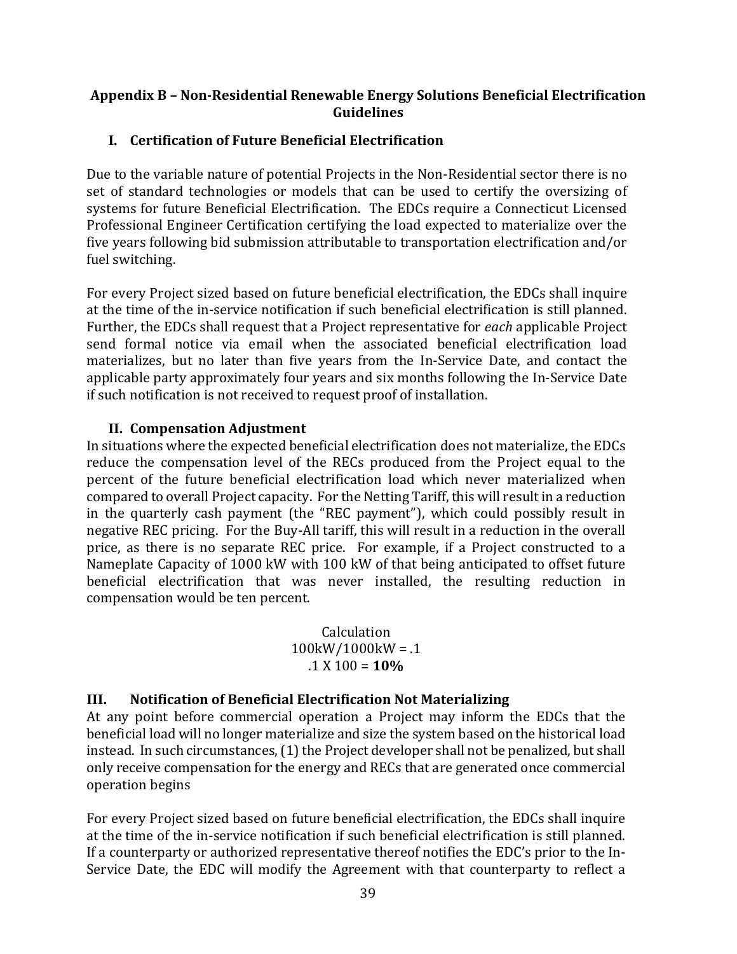#### <span id="page-38-0"></span>**Appendix B – Non-Residential Renewable Energy Solutions Beneficial Electrification Guidelines**

### **I. Certification of Future Beneficial Electrification**

Due to the variable nature of potential Projects in the Non-Residential sector there is no set of standard technologies or models that can be used to certify the oversizing of systems for future Beneficial Electrification. The EDCs require a Connecticut Licensed Professional Engineer Certification certifying the load expected to materialize over the five years following bid submission attributable to transportation electrification and/or fuel switching.

For every Project sized based on future beneficial electrification, the EDCs shall inquire at the time of the in-service notification if such beneficial electrification is still planned. Further, the EDCs shall request that a Project representative for *each* applicable Project send formal notice via email when the associated beneficial electrification load materializes, but no later than five years from the In-Service Date, and contact the applicable party approximately four years and six months following the In-Service Date if such notification is not received to request proof of installation.

#### **II. Compensation Adjustment**

In situations where the expected beneficial electrification does not materialize, the EDCs reduce the compensation level of the RECs produced from the Project equal to the percent of the future beneficial electrification load which never materialized when compared to overall Project capacity. For the Netting Tariff, this will result in a reduction in the quarterly cash payment (the "REC payment"), which could possibly result in negative REC pricing. For the Buy-All tariff, this will result in a reduction in the overall price, as there is no separate REC price. For example, if a Project constructed to a Nameplate Capacity of 1000 kW with 100 kW of that being anticipated to offset future beneficial electrification that was never installed, the resulting reduction in compensation would be ten percent.

> Calculation 100kW/1000kW = .1 .1 X 100 = **10%**

#### **III. Notification of Beneficial Electrification Not Materializing**

At any point before commercial operation a Project may inform the EDCs that the beneficial load will no longer materialize and size the system based on the historical load instead. In such circumstances, (1) the Project developer shall not be penalized, but shall only receive compensation for the energy and RECs that are generated once commercial operation begins

For every Project sized based on future beneficial electrification, the EDCs shall inquire at the time of the in-service notification if such beneficial electrification is still planned. If a counterparty or authorized representative thereof notifies the EDC's prior to the In-Service Date, the EDC will modify the Agreement with that counterparty to reflect a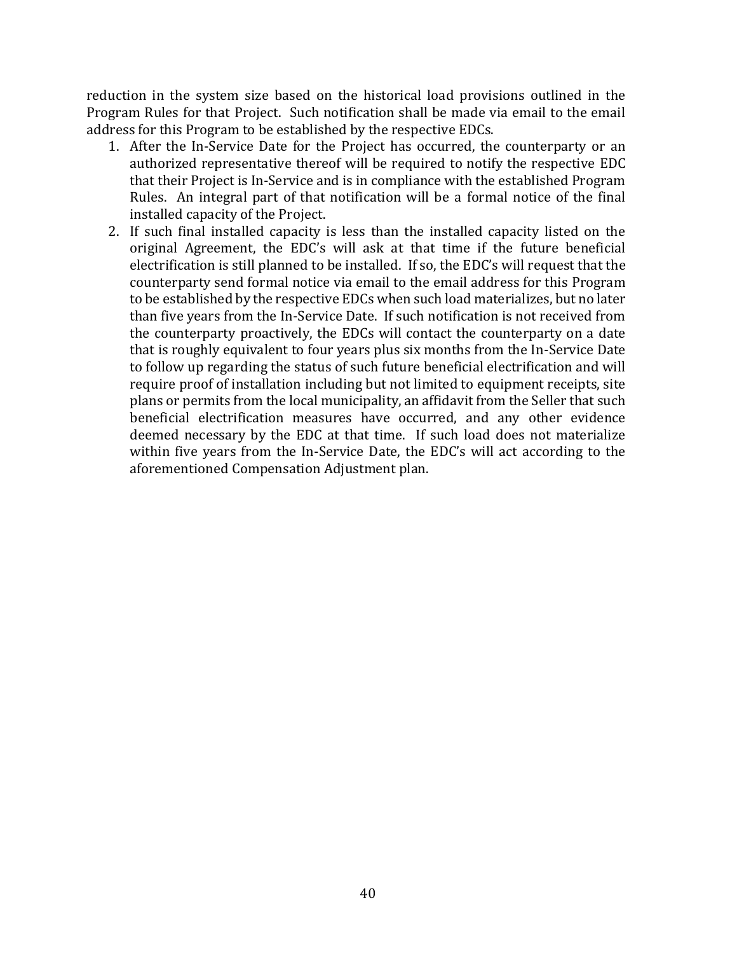reduction in the system size based on the historical load provisions outlined in the Program Rules for that Project. Such notification shall be made via email to the email address for this Program to be established by the respective EDCs.

- 1. After the In-Service Date for the Project has occurred, the counterparty or an authorized representative thereof will be required to notify the respective EDC that their Project is In-Service and is in compliance with the established Program Rules. An integral part of that notification will be a formal notice of the final installed capacity of the Project.
- 2. If such final installed capacity is less than the installed capacity listed on the original Agreement, the EDC's will ask at that time if the future beneficial electrification is still planned to be installed. If so, the EDC's will request that the counterparty send formal notice via email to the email address for this Program to be established by the respective EDCs when such load materializes, but no later than five years from the In-Service Date. If such notification is not received from the counterparty proactively, the EDCs will contact the counterparty on a date that is roughly equivalent to four years plus six months from the In-Service Date to follow up regarding the status of such future beneficial electrification and will require proof of installation including but not limited to equipment receipts, site plans or permits from the local municipality, an affidavit from the Seller that such beneficial electrification measures have occurred, and any other evidence deemed necessary by the EDC at that time. If such load does not materialize within five years from the In-Service Date, the EDC's will act according to the aforementioned Compensation Adjustment plan.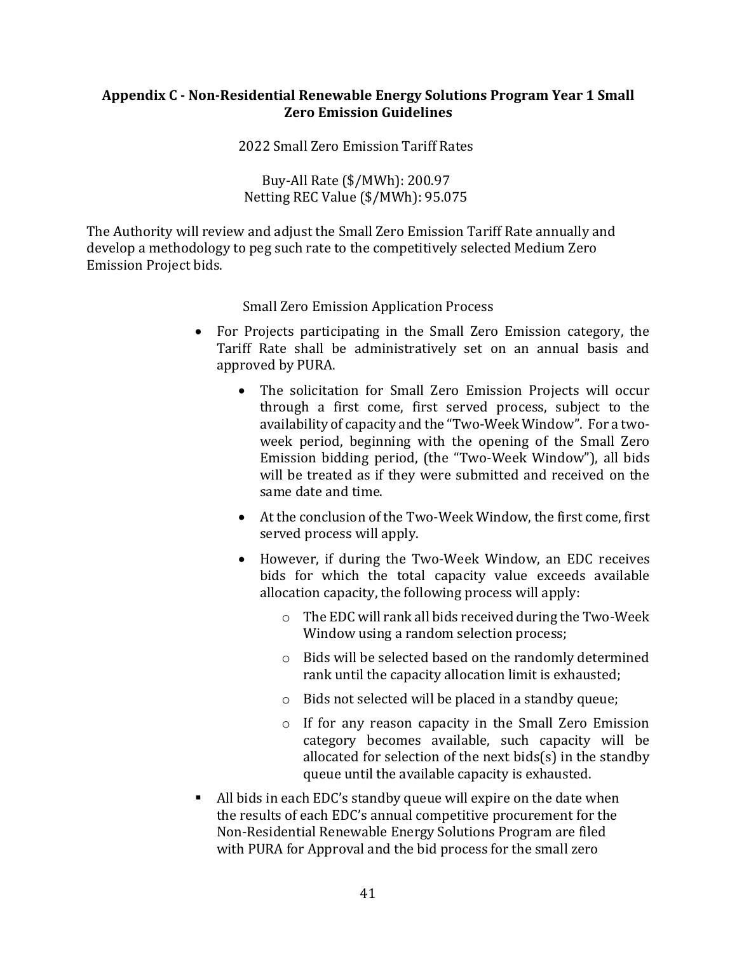#### <span id="page-40-0"></span>**Appendix C - Non-Residential Renewable Energy Solutions Program Year 1 Small Zero Emission Guidelines**

2022 Small Zero Emission Tariff Rates

Buy-All Rate (\$/MWh): 200.97 Netting REC Value (\$/MWh): 95.075

The Authority will review and adjust the Small Zero Emission Tariff Rate annually and develop a methodology to peg such rate to the competitively selected Medium Zero Emission Project bids.

Small Zero Emission Application Process

- For Projects participating in the Small Zero Emission category, the Tariff Rate shall be administratively set on an annual basis and approved by PURA.
	- The solicitation for Small Zero Emission Projects will occur through a first come, first served process, subject to the availability of capacity and the "Two-Week Window". For a twoweek period, beginning with the opening of the Small Zero Emission bidding period, (the "Two-Week Window"), all bids will be treated as if they were submitted and received on the same date and time.
	- At the conclusion of the Two-Week Window, the first come, first served process will apply.
	- However, if during the Two-Week Window, an EDC receives bids for which the total capacity value exceeds available allocation capacity, the following process will apply:
		- o The EDC will rank all bids received during the Two-Week Window using a random selection process;
		- o Bids will be selected based on the randomly determined rank until the capacity allocation limit is exhausted;
		- o Bids not selected will be placed in a standby queue;
		- o If for any reason capacity in the Small Zero Emission category becomes available, such capacity will be allocated for selection of the next bids(s) in the standby queue until the available capacity is exhausted.
- All bids in each EDC's standby queue will expire on the date when the results of each EDC's annual competitive procurement for the Non-Residential Renewable Energy Solutions Program are filed with PURA for Approval and the bid process for the small zero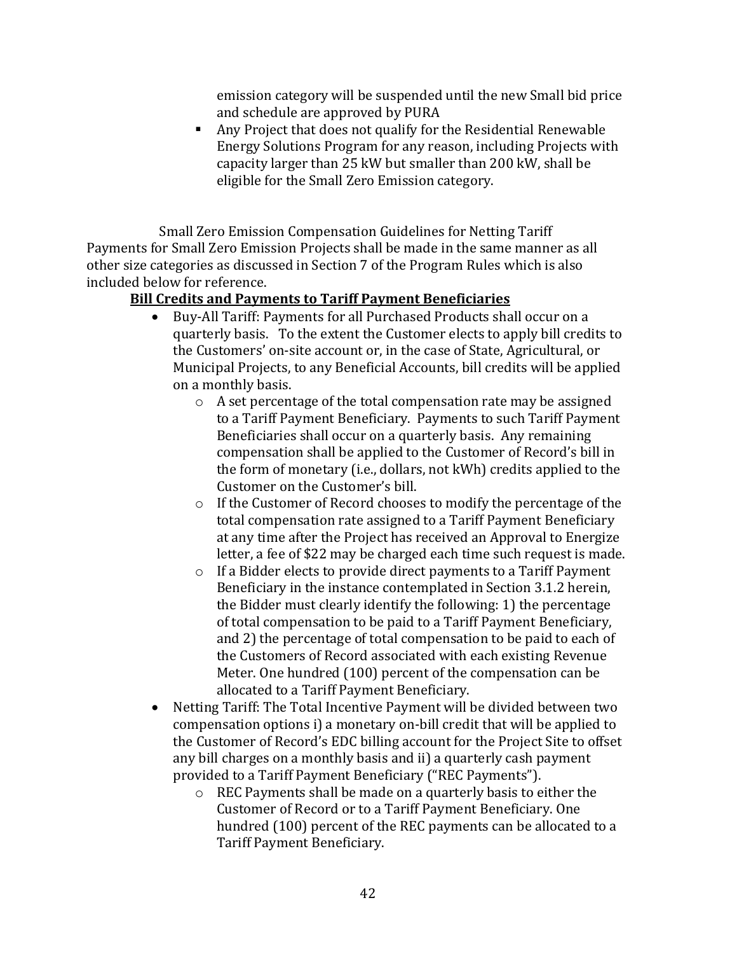emission category will be suspended until the new Small bid price and schedule are approved by PURA

■ Any Project that does not qualify for the Residential Renewable Energy Solutions Program for any reason, including Projects with capacity larger than 25 kW but smaller than 200 kW, shall be eligible for the Small Zero Emission category.

Small Zero Emission Compensation Guidelines for Netting Tariff Payments for Small Zero Emission Projects shall be made in the same manner as all other size categories as discussed in Section 7 of the Program Rules which is also included below for reference.

### **Bill Credits and Payments to Tariff Payment Beneficiaries**

- Buy-All Tariff: Payments for all Purchased Products shall occur on a quarterly basis. To the extent the Customer elects to apply bill credits to the Customers' on-site account or, in the case of State, Agricultural, or Municipal Projects, to any Beneficial Accounts, bill credits will be applied on a monthly basis.
	- o A set percentage of the total compensation rate may be assigned to a Tariff Payment Beneficiary. Payments to such Tariff Payment Beneficiaries shall occur on a quarterly basis. Any remaining compensation shall be applied to the Customer of Record's bill in the form of monetary (i.e., dollars, not kWh) credits applied to the Customer on the Customer's bill.
	- o If the Customer of Record chooses to modify the percentage of the total compensation rate assigned to a Tariff Payment Beneficiary at any time after the Project has received an Approval to Energize letter, a fee of \$22 may be charged each time such request is made.
	- o If a Bidder elects to provide direct payments to a Tariff Payment Beneficiary in the instance contemplated in Section 3.1.2 herein, the Bidder must clearly identify the following: 1) the percentage of total compensation to be paid to a Tariff Payment Beneficiary, and 2) the percentage of total compensation to be paid to each of the Customers of Record associated with each existing Revenue Meter. One hundred (100) percent of the compensation can be allocated to a Tariff Payment Beneficiary.
- Netting Tariff: The Total Incentive Payment will be divided between two compensation options i) a monetary on-bill credit that will be applied to the Customer of Record's EDC billing account for the Project Site to offset any bill charges on a monthly basis and ii) a quarterly cash payment provided to a Tariff Payment Beneficiary ("REC Payments").
	- o REC Payments shall be made on a quarterly basis to either the Customer of Record or to a Tariff Payment Beneficiary. One hundred (100) percent of the REC payments can be allocated to a Tariff Payment Beneficiary.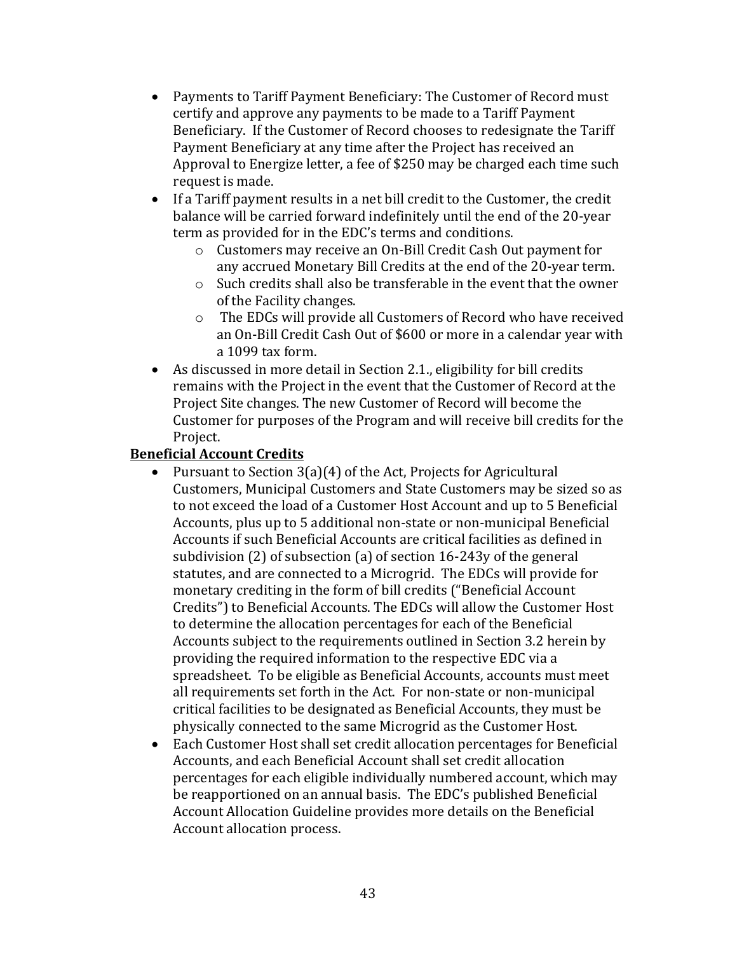- Payments to Tariff Payment Beneficiary: The Customer of Record must certify and approve any payments to be made to a Tariff Payment Beneficiary. If the Customer of Record chooses to redesignate the Tariff Payment Beneficiary at any time after the Project has received an Approval to Energize letter, a fee of \$250 may be charged each time such request is made.
- If a Tariff payment results in a net bill credit to the Customer, the credit balance will be carried forward indefinitely until the end of the 20-year term as provided for in the EDC's terms and conditions.
	- o Customers may receive an On-Bill Credit Cash Out payment for any accrued Monetary Bill Credits at the end of the 20-year term.
	- o Such credits shall also be transferable in the event that the owner of the Facility changes.
	- o The EDCs will provide all Customers of Record who have received an On-Bill Credit Cash Out of \$600 or more in a calendar year with a 1099 tax form.
- As discussed in more detail in Section 2.1., eligibility for bill credits remains with the Project in the event that the Customer of Record at the Project Site changes. The new Customer of Record will become the Customer for purposes of the Program and will receive bill credits for the Project.

### **Beneficial Account Credits**

- Pursuant to Section 3(a)(4) of the Act, Projects for Agricultural Customers, Municipal Customers and State Customers may be sized so as to not exceed the load of a Customer Host Account and up to 5 Beneficial Accounts, plus up to 5 additional non-state or non-municipal Beneficial Accounts if such Beneficial Accounts are critical facilities as defined in subdivision (2) of subsection (a) of section 16-243y of the general statutes, and are connected to a Microgrid. The EDCs will provide for monetary crediting in the form of bill credits ("Beneficial Account Credits") to Beneficial Accounts. The EDCs will allow the Customer Host to determine the allocation percentages for each of the Beneficial Accounts subject to the requirements outlined in Section 3.2 herein by providing the required information to the respective EDC via a spreadsheet. To be eligible as Beneficial Accounts, accounts must meet all requirements set forth in the Act. For non-state or non-municipal critical facilities to be designated as Beneficial Accounts, they must be physically connected to the same Microgrid as the Customer Host.
- Each Customer Host shall set credit allocation percentages for Beneficial Accounts, and each Beneficial Account shall set credit allocation percentages for each eligible individually numbered account, which may be reapportioned on an annual basis. The EDC's published Beneficial Account Allocation Guideline provides more details on the Beneficial Account allocation process.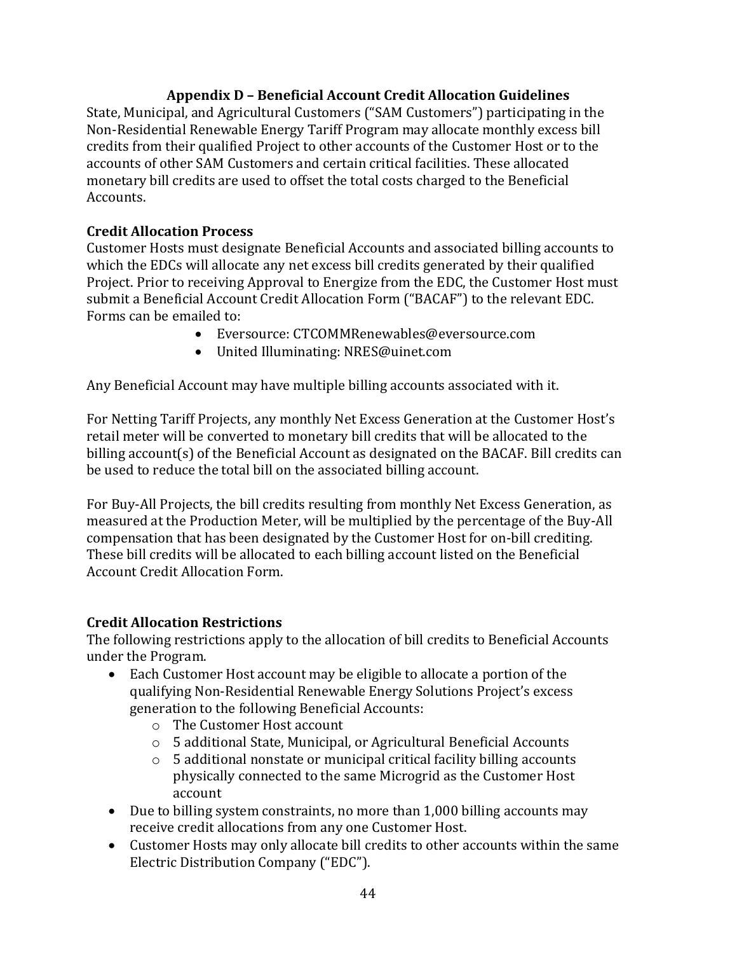## **Appendix D – Beneficial Account Credit Allocation Guidelines**

<span id="page-43-0"></span>State, Municipal, and Agricultural Customers ("SAM Customers") participating in the Non-Residential Renewable Energy Tariff Program may allocate monthly excess bill credits from their qualified Project to other accounts of the Customer Host or to the accounts of other SAM Customers and certain critical facilities. These allocated monetary bill credits are used to offset the total costs charged to the Beneficial Accounts.

### **Credit Allocation Process**

Customer Hosts must designate Beneficial Accounts and associated billing accounts to which the EDCs will allocate any net excess bill credits generated by their qualified Project. Prior to receiving Approval to Energize from the EDC, the Customer Host must submit a Beneficial Account Credit Allocation Form ("BACAF") to the relevant EDC. Forms can be emailed to:

- Eversource: CTCOMMRenewables@eversource.com
- United Illuminating: NRES@uinet.com

Any Beneficial Account may have multiple billing accounts associated with it.

For Netting Tariff Projects, any monthly Net Excess Generation at the Customer Host's retail meter will be converted to monetary bill credits that will be allocated to the billing account(s) of the Beneficial Account as designated on the BACAF. Bill credits can be used to reduce the total bill on the associated billing account.

For Buy-All Projects, the bill credits resulting from monthly Net Excess Generation, as measured at the Production Meter, will be multiplied by the percentage of the Buy-All compensation that has been designated by the Customer Host for on-bill crediting. These bill credits will be allocated to each billing account listed on the Beneficial Account Credit Allocation Form.

#### **Credit Allocation Restrictions**

The following restrictions apply to the allocation of bill credits to Beneficial Accounts under the Program.

- Each Customer Host account may be eligible to allocate a portion of the qualifying Non-Residential Renewable Energy Solutions Project's excess generation to the following Beneficial Accounts:
	- o The Customer Host account
	- o 5 additional State, Municipal, or Agricultural Beneficial Accounts
	- o 5 additional nonstate or municipal critical facility billing accounts physically connected to the same Microgrid as the Customer Host account
- Due to billing system constraints, no more than 1,000 billing accounts may receive credit allocations from any one Customer Host.
- Customer Hosts may only allocate bill credits to other accounts within the same Electric Distribution Company ("EDC").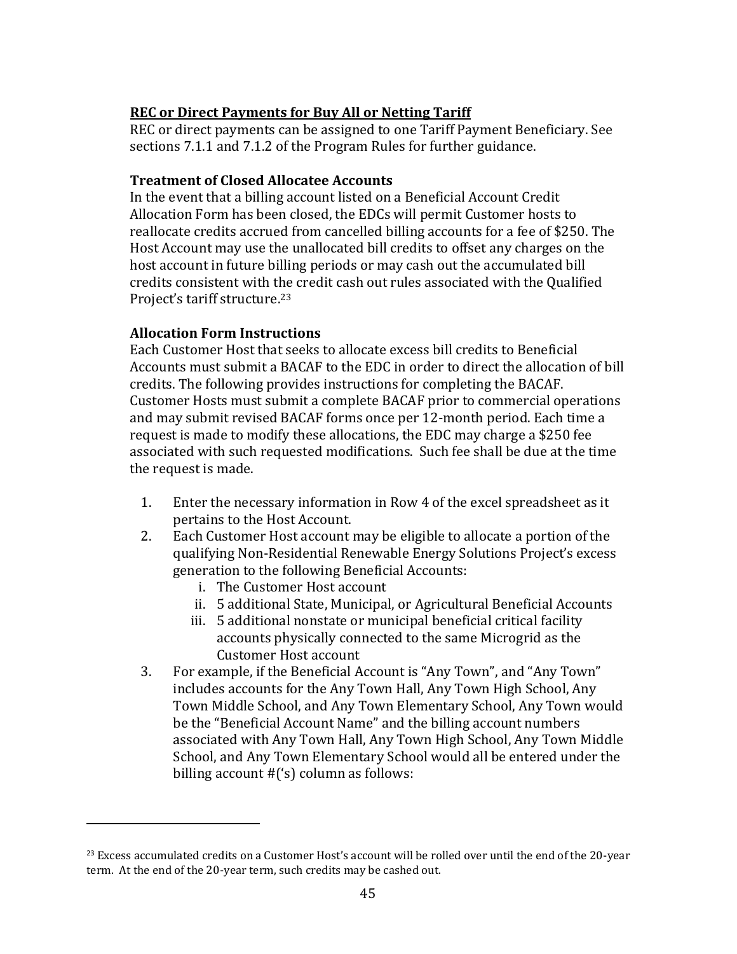### **REC or Direct Payments for Buy All or Netting Tariff**

REC or direct payments can be assigned to one Tariff Payment Beneficiary. See sections 7.1.1 and 7.1.2 of the Program Rules for further guidance.

#### **Treatment of Closed Allocatee Accounts**

In the event that a billing account listed on a Beneficial Account Credit Allocation Form has been closed, the EDCs will permit Customer hosts to reallocate credits accrued from cancelled billing accounts for a fee of \$250. The Host Account may use the unallocated bill credits to offset any charges on the host account in future billing periods or may cash out the accumulated bill credits consistent with the credit cash out rules associated with the Qualified Project's tariff structure. 23

#### **Allocation Form Instructions**

Each Customer Host that seeks to allocate excess bill credits to Beneficial Accounts must submit a BACAF to the EDC in order to direct the allocation of bill credits. The following provides instructions for completing the BACAF. Customer Hosts must submit a complete BACAF prior to commercial operations and may submit revised BACAF forms once per 12-month period. Each time a request is made to modify these allocations, the EDC may charge a \$250 fee associated with such requested modifications. Such fee shall be due at the time the request is made.

- 1. Enter the necessary information in Row 4 of the excel spreadsheet as it pertains to the Host Account.
- 2. Each Customer Host account may be eligible to allocate a portion of the qualifying Non-Residential Renewable Energy Solutions Project's excess generation to the following Beneficial Accounts:
	- i. The Customer Host account
	- ii. 5 additional State, Municipal, or Agricultural Beneficial Accounts
	- iii. 5 additional nonstate or municipal beneficial critical facility accounts physically connected to the same Microgrid as the Customer Host account
- 3. For example, if the Beneficial Account is "Any Town", and "Any Town" includes accounts for the Any Town Hall, Any Town High School, Any Town Middle School, and Any Town Elementary School, Any Town would be the "Beneficial Account Name" and the billing account numbers associated with Any Town Hall, Any Town High School, Any Town Middle School, and Any Town Elementary School would all be entered under the billing account #('s) column as follows:

<sup>&</sup>lt;sup>23</sup> Excess accumulated credits on a Customer Host's account will be rolled over until the end of the 20-year term. At the end of the 20-year term, such credits may be cashed out.